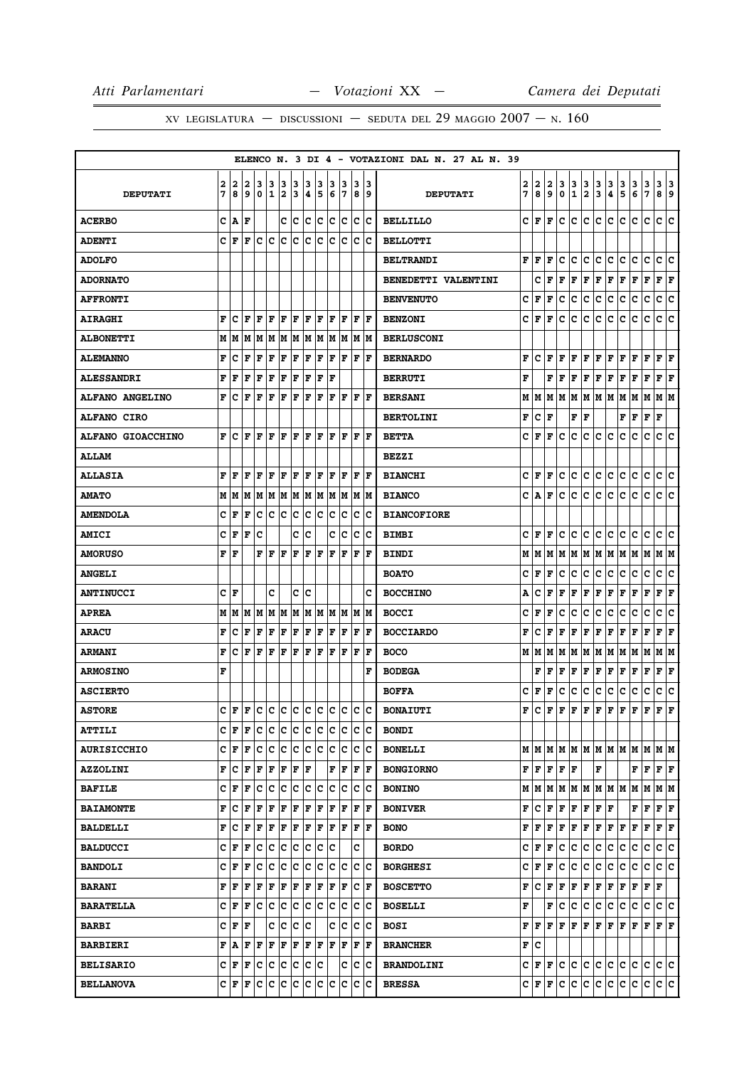|                        |        |        |        |                                                                                                                  |                                         |                |        |        |        |        |                                                                                                                  |   |                       |           | ELENCO N. 3 DI 4 - VOTAZIONI DAL N. 27 AL N. 39 |        |           |        |                  |                   |               |               |                           |                                   |                                           |               |                                      |        |
|------------------------|--------|--------|--------|------------------------------------------------------------------------------------------------------------------|-----------------------------------------|----------------|--------|--------|--------|--------|------------------------------------------------------------------------------------------------------------------|---|-----------------------|-----------|-------------------------------------------------|--------|-----------|--------|------------------|-------------------|---------------|---------------|---------------------------|-----------------------------------|-------------------------------------------|---------------|--------------------------------------|--------|
| <b>DEPUTATI</b>        | 2<br>7 | 2<br>8 | 2<br>9 | 3<br>0                                                                                                           | з<br>$\mathbf{1}$                       | з<br>2         | 3<br>3 | 3<br>4 | з<br>5 | з<br>6 | 3<br>17                                                                                                          |   | з<br>8                | 13<br>و ا | <b>DEPUTATI</b>                                 | 2<br>7 | 2<br>8    | 2<br>9 | 3<br>$\mathbf 0$ | 3<br>$\mathbf{1}$ | $\frac{3}{2}$ | $\frac{3}{3}$ | $\frac{3}{4}$             | 3<br>5                            | 3<br>6                                    | $\frac{3}{7}$ | 3<br>8                               | 3<br>9 |
| <b>ACERBO</b>          | c      | A      | F      |                                                                                                                  |                                         | c c            |        | c.     | ∣c     | c      | ∣c                                                                                                               |   | c c                   |           | <b>BELLILLO</b>                                 | c      | F         | F      | c                | c                 | c             | c             | c                         | c                                 | c                                         | c             | c                                    | c      |
| <b>ADENTI</b>          | C      | F      | F      | c                                                                                                                | c                                       | c              | c      | c      | c      | lc.    | Ιc                                                                                                               |   | ١c                    | lc        | <b>BELLOTTI</b>                                 |        |           |        |                  |                   |               |               |                           |                                   |                                           |               |                                      |        |
| <b>ADOLFO</b>          |        |        |        |                                                                                                                  |                                         |                |        |        |        |        |                                                                                                                  |   |                       |           | <b>BELTRANDI</b>                                | F      | F         | F      | с                | c                 | с             | c             | с                         | c                                 | с                                         | c             | c                                    | c      |
| <b>ADORNATO</b>        |        |        |        |                                                                                                                  |                                         |                |        |        |        |        |                                                                                                                  |   |                       |           | <b>BENEDETTI VALENTINI</b>                      |        | с         | F      | F                | F                 | F             | F             | F                         | F                                 | F                                         | F             | ${\bf F} \,   \, {\bf F}$            |        |
| <b>AFFRONTI</b>        |        |        |        |                                                                                                                  |                                         |                |        |        |        |        |                                                                                                                  |   |                       |           | <b>BENVENUTO</b>                                | c      | F         | F      | c                | с                 | с             | с             | c                         | c                                 | c                                         | c             | c                                    | c      |
| <b>AIRAGHI</b>         | F      | c      | F      | F                                                                                                                | ΙF                                      | F              | F      | l F    | F      | lF.    | ١F                                                                                                               |   | F  F                  |           | <b>BENZONI</b>                                  | с      | F         | F      | c                | с                 | с             | с             | с                         | с                                 | c                                         | c             | c c                                  |        |
| <b>ALBONETTI</b>       | М      | M      | М      | M                                                                                                                | M                                       | M              |        |        |        |        | M  M  M  M  M  M  M                                                                                              |   |                       |           | <b>BERLUSCONI</b>                               |        |           |        |                  |                   |               |               |                           |                                   |                                           |               |                                      |        |
| <b>ALEMANNO</b>        | F      | c      | F      | F                                                                                                                | F                                       | F              | F      | l F    | F      | F      | F                                                                                                                |   | $ {\bf F}  {\bf F} $  |           | <b>BERNARDO</b>                                 | F      | c         | F      | F                | F                 | F             | F             | F                         | F                                 | F                                         | F             | ${\bf F} \,   \, {\bf F}$            |        |
| <b>ALESSANDRI</b>      | F      | F      | F      | F                                                                                                                | F                                       | F              | F      | F      | F      | lF     |                                                                                                                  |   |                       |           | <b>BERRUTI</b>                                  | F      |           | F      | F                | F                 | F             | F             | F                         | F                                 | F                                         | $\mathbf F$   | ${\bf F} \mid {\bf F}$               |        |
| <b>ALFANO ANGELINO</b> | F      | c      | F      | F                                                                                                                | F                                       | F              | F      | F      | F      | ΙF     | F                                                                                                                |   | F  F                  |           | <b>BERSANI</b>                                  | М      | М         | м      | М                | М                 | М             | M             | M                         | M                                 | M                                         | M             | M   M                                |        |
| <b>ALFANO CIRO</b>     |        |        |        |                                                                                                                  |                                         |                |        |        |        |        |                                                                                                                  |   |                       |           | <b>BERTOLINI</b>                                | F      | c         | F      |                  | F                 | F             |               |                           | F                                 | F                                         | F             | F                                    |        |
| ALFANO GIOACCHINO      | F      | c      | F      | F                                                                                                                | F                                       | F              | F      | F      | F      | F      | F                                                                                                                |   | ΙF                    | ١F        | <b>BETTA</b>                                    | c      | F         | F      | c                | c                 | с             | c             | c                         | c                                 | c                                         | c             | c                                    | c      |
| <b>ALLAM</b>           |        |        |        |                                                                                                                  |                                         |                |        |        |        |        |                                                                                                                  |   |                       |           | <b>BEZZI</b>                                    |        |           |        |                  |                   |               |               |                           |                                   |                                           |               |                                      |        |
| <b>ALLASIA</b>         | F      | F      | F      | F                                                                                                                | F                                       | F              | F      | F      | F      | F      | F                                                                                                                |   | F                     | ١F        | <b>BIANCHI</b>                                  | с      | F         | F      | c                | c                 | с             | с             | с                         | с                                 | с                                         | с             | С                                    | с      |
| <b>AMATO</b>           | М      | M      | M      |                                                                                                                  | $M$ $M$ $M$ $M$ $M$ $M$ $M$ $M$ $M$ $M$ |                |        |        |        |        |                                                                                                                  |   |                       |           | <b>BIANCO</b>                                   | с      | А         | F      | c                | c                 | c             | c             | c                         | c                                 | c                                         | c             | c                                    | lc.    |
| <b>AMENDOLA</b>        | c      | F      | F      | c                                                                                                                | c                                       | $\overline{c}$ | c      |        | c c    |        | c c                                                                                                              |   | c c                   |           | <b>BIANCOFIORE</b>                              |        |           |        |                  |                   |               |               |                           |                                   |                                           |               |                                      |        |
| <b>AMICI</b>           | c      | F      | F      | c                                                                                                                |                                         |                | c      | c      |        | c      | lc                                                                                                               |   | Iс                    | Ιc        | <b>BIMBI</b>                                    | с      | F         | F      | c                | с                 | с             | с             | с                         | c                                 | с                                         | c             | с                                    | c      |
| <b>AMORUSO</b>         | F      | ١F     |        | F                                                                                                                | F                                       | ١F             | ΙF     | F      | F      | ١F     | $ \mathbf{F} $                                                                                                   | F |                       | ١F        | <b>BINDI</b>                                    | М      | м         | М      | М                | M                 |               | M   M   M   M |                           |                                   | MM                                        |               | M  M                                 |        |
| <b>ANGELI</b>          |        |        |        |                                                                                                                  |                                         |                |        |        |        |        |                                                                                                                  |   |                       |           | <b>BOATO</b>                                    | c      | F         | F      | c                | с                 | с             | с             | с                         | с                                 | с                                         | с             | с                                    | c      |
| <b>ANTINUCCI</b>       |        | C F    |        |                                                                                                                  | c                                       |                | c      | Ιc     |        |        |                                                                                                                  |   |                       | c         | <b>BOCCHINO</b>                                 | A      | c         | F      | F                | F                 | F             | F             | F                         | F                                 | F                                         | F             | F                                    | F      |
| <b>APREA</b>           | М      | М      | М      | M                                                                                                                | MM                                      |                | M      |        |        |        | M  M  M  M  M  M                                                                                                 |   |                       |           | <b>BOCCI</b>                                    | c      | F         | F      | c                | с                 | c             | с             | с                         | c                                 | с                                         | c             | с                                    | c      |
| <b>ARACU</b>           | F      | c      | F      | F                                                                                                                | F                                       | F              | F      | F      | F      | F      | F                                                                                                                |   | F                     | F         | <b>BOCCIARDO</b>                                | F      | C         | F      | F                | F                 | F             | F             | F                         | F                                 | Г                                         | F             | F                                    | F      |
| <b>ARMANI</b>          | F      | c      | l F    | F                                                                                                                | F                                       | F              | F      | F      | F      | ١F     | ١F                                                                                                               |   | ΙF                    | ١F        | <b>BOCO</b>                                     | М      | М         | М      | М                | М                 | М             | M             | М                         | M                                 | M  M                                      |               | M   M                                |        |
| <b>ARMOSINO</b>        | F      |        |        |                                                                                                                  |                                         |                |        |        |        |        |                                                                                                                  |   |                       | F         | <b>BODEGA</b>                                   |        | F         | F      | F                | F                 | F             | F             | F                         | F                                 | F                                         | F             | F                                    | F      |
| <b>ASCIERTO</b>        |        |        |        |                                                                                                                  |                                         |                |        |        |        |        |                                                                                                                  |   |                       |           | <b>BOFFA</b>                                    | c      | F         | F      | c                | с                 | с             | с             | с                         | с                                 | c                                         | с             | c                                    | c      |
| <b>ASTORE</b>          |        | CF     | ١F     |                                                                                                                  | le le le le le le le le le le           |                |        |        |        |        |                                                                                                                  |   |                       |           | <b>BONAIUTI</b>                                 | F      | c         | F      | F                | F                 | F             | F             | F                         | F                                 | F                                         | F             | F                                    | lF     |
| <b>ATTILI</b>          |        | C F    | F      |                                                                                                                  |                                         |                |        |        |        |        |                                                                                                                  |   |                       |           | <b>BONDI</b>                                    |        |           |        |                  |                   |               |               |                           |                                   |                                           |               |                                      |        |
| <b>AURISICCHIO</b>     |        | CF     | F      | c                                                                                                                | lc.                                     | c c c c        |        |        |        |        | c c                                                                                                              |   | c c                   |           | <b>BONELLI</b>                                  |        | MM        |        |                  |                   |               |               |                           |                                   | MMMMMMMMMMMMM                             |               |                                      |        |
| <b>AZZOLINI</b>        | F      | c      | F      | F                                                                                                                | F                                       | F F F          |        |        |        |        | F F                                                                                                              |   | $ {\bf F} $ ${\bf F}$ |           | <b>BONGIORNO</b>                                |        | F F F F F |        |                  |                   |               | F             |                           |                                   |                                           |               | ${\bf F}$ $\bf{F}$ $\bf{F}$ $\bf{F}$ |        |
| <b>BAFILE</b>          | c l    | F      | F      |                                                                                                                  | c  c  c  c  c  c  c  c  c  c            |                |        |        |        |        |                                                                                                                  |   |                       |           | <b>BONINO</b>                                   |        | M   M     | M      | М                |                   |               |               |                           |                                   | M   M   M   M   M   M   M   M             |               |                                      |        |
| <b>BAIAMONTE</b>       | F      | с      | F      | F                                                                                                                | F                                       | F F            |        |        |        |        | $\left  \mathbf{F} \right  \mathbf{F} \left  \mathbf{F} \right  \mathbf{F} \left  \mathbf{F} \right  \mathbf{F}$ |   |                       |           | <b>BONIVER</b>                                  | F      | с         | F      | F                | F                 | F             | F             | F                         |                                   | F                                         | F             | F F                                  |        |
| <b>BALDELLI</b>        | F      | c      | F      | F F F F F F F F F F F                                                                                            |                                         |                |        |        |        |        |                                                                                                                  |   |                       |           | <b>BONO</b>                                     | F      | F         | F      | F                | F                 | F             | F             | $\mathbf{F}   \mathbf{F}$ |                                   | F F                                       |               | F F                                  |        |
| <b>BALDUCCI</b>        |        | CF     | F      | с                                                                                                                | c c c c c c                             |                |        |        |        |        |                                                                                                                  |   | c                     |           | <b>BORDO</b>                                    | c      | F         | F      | c                | с                 | с             | с             | c                         | с                                 | с                                         | с             | c c                                  |        |
| <b>BANDOLI</b>         | C I    | г      | F      |                                                                                                                  | c c c c c c c c c                       |                |        |        |        |        |                                                                                                                  |   | c c                   |           | <b>BORGHESI</b>                                 | С      | F         | F      | с                | c                 | с             | c             | c                         | c                                 | с                                         | с             | c c                                  |        |
| <b>BARANI</b>          | F      | F      | F      | F                                                                                                                | F                                       | F F F F        |        |        |        |        | F F                                                                                                              |   | $ {\bf C}  {\bf F} $  |           | <b>BOSCETTO</b>                                 | F      | c         | F      | F                | F                 |               | F F           |                           | ${\bf F} \,   \, {\bf F} \,  $    | ${\bf F} \,   \, {\bf F} \,   \, {\bf F}$ |               |                                      |        |
| <b>BARATELLA</b>       |        | CF     | F      | c c c c c c                                                                                                      |                                         |                |        |        |        |        | c c                                                                                                              |   | c c                   |           | <b>BOSELLI</b>                                  | F      |           | F      | с                | c                 | c             | c             | c                         | c                                 | c                                         | c             | c c                                  |        |
| <b>BARBI</b>           | c      | F      | F      |                                                                                                                  |                                         | c c c c        |        |        |        |        | c c c c                                                                                                          |   |                       |           | <b>BOSI</b>                                     | F      | F         | F      | F                | F                 | F             | F             |                           | $\mathbf{F} \parallel \mathbf{F}$ | ${\bf F} \parallel {\bf F}$               |               | F F                                  |        |
| <b>BARBIERI</b>        |        | F A    | F      | $ {\bf F}\, {\bf F}\, {\bf F}\, {\bf F}\, {\bf F}\, {\bf F}\, {\bf F}\, {\bf F}\, {\bf F}\, {\bf F}\, {\bf F}\,$ |                                         |                |        |        |        |        |                                                                                                                  |   |                       |           | <b>BRANCHER</b>                                 | F      | c         |        |                  |                   |               |               |                           |                                   |                                           |               |                                      |        |
| <b>BELISARIO</b>       |        |        |        | C F F C C C C C C                                                                                                |                                         |                |        |        |        |        |                                                                                                                  |   | c c c                 |           | <b>BRANDOLINI</b>                               | c      | F F       |        | c                | c                 | $\mathbf{C}$  | c.            | c                         | c.                                | c                                         | c             | c c                                  |        |
| <b>BELLANOVA</b>       |        | C F    | F      |                                                                                                                  |                                         |                |        |        |        |        |                                                                                                                  |   |                       |           | <b>BRESSA</b>                                   | с      | F         | F      | с                | c                 | c             | c             | c                         | c.                                | с                                         | c             | c c                                  |        |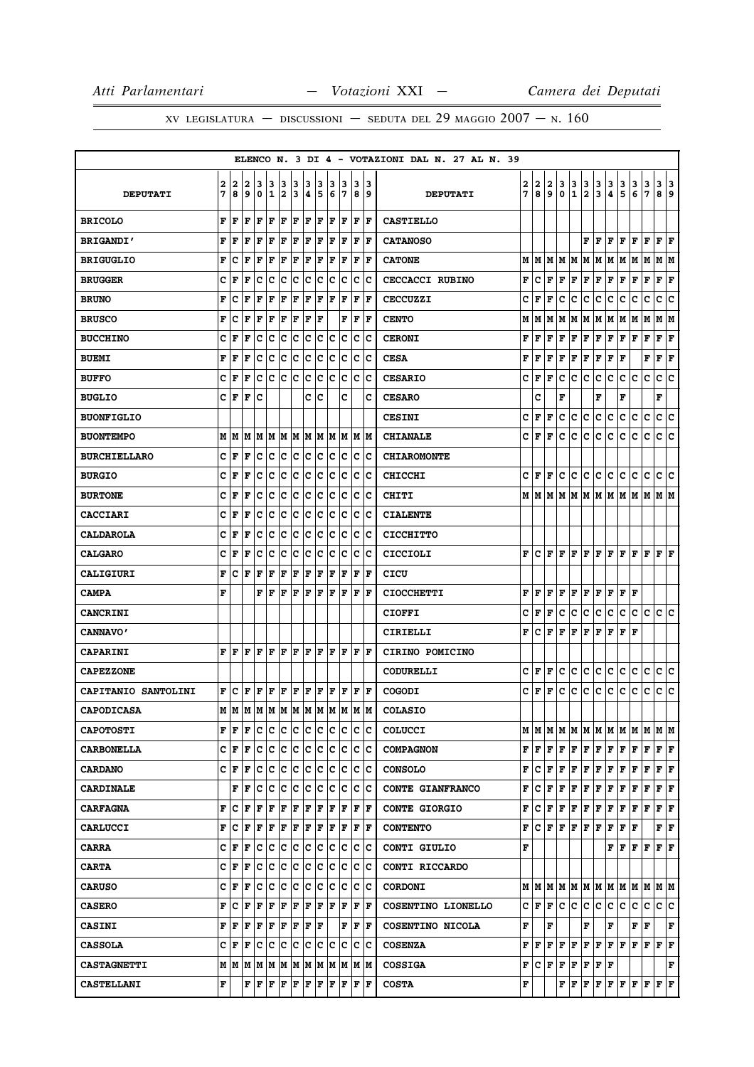# XV LEGISLATURA — DISCUSSIONI — SEDUTA DEL 29 MAGGIO  $2007 - N. 160$

|                            |   |     |     |                                                                                                                                                |              |     |             |                      |     |     |                      |     |                         | ELENCO N. 3 DI 4 - VOTAZIONI DAL N. 27 AL N. 39 |   |               |              |              |                                                                                 |               |                                              |                                   |               |                                                                                                                                                                          |               |                              |     |
|----------------------------|---|-----|-----|------------------------------------------------------------------------------------------------------------------------------------------------|--------------|-----|-------------|----------------------|-----|-----|----------------------|-----|-------------------------|-------------------------------------------------|---|---------------|--------------|--------------|---------------------------------------------------------------------------------|---------------|----------------------------------------------|-----------------------------------|---------------|--------------------------------------------------------------------------------------------------------------------------------------------------------------------------|---------------|------------------------------|-----|
|                            | 2 | 2   | 2   | 3                                                                                                                                              | 3            | 3   | 3           | з                    | 3   | з   | 3                    | 3   | 13                      |                                                 | 2 | 2             | 2            | 3            | 3                                                                               | $\frac{3}{2}$ | $\frac{3}{3}$                                | $\frac{3}{4}$                     | $\frac{3}{5}$ | 3                                                                                                                                                                        | $\frac{3}{7}$ | 3                            | 3   |
| <b>DEPUTATI</b>            | 7 | 8   | 9   | 0                                                                                                                                              | $\mathbf{1}$ | 2   | 3           | 4                    | 5   | 6   | 17                   | 8   | و                       | <b>DEPUTATI</b>                                 | 7 | 8             | 9            | $\mathbf 0$  | $\mathbf{1}$                                                                    |               |                                              |                                   |               | 6                                                                                                                                                                        |               | 8                            | 9   |
| <b>BRICOLO</b>             | F | l F | l F | lF.                                                                                                                                            | F            | F   | F           | F F                  |     |     | F F                  |     | $ {\bf F}  {\bf F} $    | <b>CASTIELLO</b>                                |   |               |              |              |                                                                                 |               |                                              |                                   |               |                                                                                                                                                                          |               |                              |     |
| <b>BRIGANDI'</b>           | F | F   | F   | F                                                                                                                                              | l F          | ΙF  | l F         | ΙF                   | F   | ΙF  | F                    | l F | lF                      | <b>CATANOSO</b>                                 |   |               |              |              |                                                                                 |               | F F.                                         | F                                 | F             | F                                                                                                                                                                        | F             | $\bf{F}$ $\bf{F}$            |     |
| <b>BRIGUGLIO</b>           | F | с   | l F | F                                                                                                                                              | F            | F   | F           | F                    | F   | ΙF  | F                    | F   | F                       | <b>CATONE</b>                                   | М | M             | M            | М            | M                                                                               | М             | M                                            | M                                 | M             | M                                                                                                                                                                        | M             | M M                          |     |
| <b>BRUGGER</b>             | c | F   | l F | c                                                                                                                                              | Iс           | Iс  | Iс          | Ιc                   | Iс  | Iс  | Iс                   | Iс  | Ιc                      | <b>CECCACCI RUBINO</b>                          | F | c             | F            | F            | F                                                                               | F             | F                                            | F                                 | Г             | F                                                                                                                                                                        | F             | ${\bf F} \,   \, {\bf F}$    |     |
| <b>BRUNO</b>               | F | с   | F   | F                                                                                                                                              | l F          | F   | F           | F                    | F   | F   | F                    | F   | F                       | <b>CECCUZZI</b>                                 | c | F             | F            | с            | с                                                                               | c             | с                                            | с                                 | с             | с                                                                                                                                                                        | с             | c                            | c   |
| <b>BRUSCO</b>              | F | c   | F   | F                                                                                                                                              | F            | F   | F           | F F                  |     |     | F                    | F   | ١F                      | <b>CENTO</b>                                    | М | м             | М            | м            | M                                                                               | Μ             | M                                            | MM                                |               | MM                                                                                                                                                                       |               | M  M                         |     |
| <b>BUCCHINO</b>            | c | F   | F   | c                                                                                                                                              | c            | Ιc  | c           | c                    | Iс  | Iс  | Ιc                   | c   | Ιc                      | <b>CERONI</b>                                   | F | F             | F            | F            | F                                                                               | F             | F                                            | F                                 | F             | F                                                                                                                                                                        | F             | F                            | F   |
| <b>BUEMI</b>               | F | F   | F   | c                                                                                                                                              | c            | c   | c           | c                    | c   | c   | c                    | Iс  | lc                      | <b>CESA</b>                                     | F | F             | F            | F            | F                                                                               | F             | Г                                            | F                                 | F             |                                                                                                                                                                          | F             | $\mathbf{F} \mid \mathbf{F}$ |     |
| <b>BUFFO</b>               | c | l F | l F | c                                                                                                                                              | Ιc           | c   | ١c          | c                    | Ιc  | lc. | Iс                   | lc. | Ιc                      | <b>CESARIO</b>                                  | c | F             | F            | с            | c                                                                               | c             | c                                            | c                                 | с             | c                                                                                                                                                                        | c             | c                            | lc. |
| <b>BUGLIO</b>              | c | F   | F   | Iс                                                                                                                                             |              |     |             | c  c                 |     |     | c                    |     | c                       | <b>CESARO</b>                                   |   | C             |              | F            |                                                                                 |               | F                                            |                                   | F             |                                                                                                                                                                          |               | F                            |     |
| <b>BUONFIGLIO</b>          |   |     |     |                                                                                                                                                |              |     |             |                      |     |     |                      |     |                         | <b>CESINI</b>                                   | с | F             | F            | c            | c                                                                               | с             | c                                            | с                                 | с             | с                                                                                                                                                                        | c             | c c                          |     |
| <b>BUONTEMPO</b>           |   | MM  | IМ  | M M                                                                                                                                            |              | M M |             | M M                  |     |     | M M                  |     | IM IM                   | <b>CHIANALE</b>                                 | c | F             | F            | с            | с                                                                               | c             | с                                            | c                                 | с             | с                                                                                                                                                                        | c             | c                            | c   |
| <b>BURCHIELLARO</b>        |   | CF  | ΙF  | с                                                                                                                                              | Iс           | lc. | ∣c          | c c                  |     |     | c  c                 |     | c c                     | <b>CHIAROMONTE</b>                              |   |               |              |              |                                                                                 |               |                                              |                                   |               |                                                                                                                                                                          |               |                              |     |
| <b>BURGIO</b>              | c | l F | F   | c                                                                                                                                              | с            | c   | c           | c                    | с   | c   | c                    | c   | Ιc                      | <b>CHICCHI</b>                                  | c | F             | F            | с            | с                                                                               | с             | с                                            | с                                 | с             | с                                                                                                                                                                        | с             | c                            | Iс  |
| <b>BURTONE</b>             | c | F   | F   | c                                                                                                                                              | c            | c   | c           | c                    | c   | c   | c                    | c   | Ιc                      | CHITI                                           |   | M   M   M   M |              |              |                                                                                 |               |                                              |                                   |               | M  M  M  M  M  M  M                                                                                                                                                      |               | M M                          |     |
| <b>CACCIARI</b>            | c | l F | l F | c                                                                                                                                              | c            | lc. | lc.         | Ιc                   | Ιc  | lc  | lc.                  | lc. | Ιc                      | <b>CIALENTE</b>                                 |   |               |              |              |                                                                                 |               |                                              |                                   |               |                                                                                                                                                                          |               |                              |     |
| <b>CALDAROLA</b>           | c | F   | F   | c                                                                                                                                              | c            | c   | Iс          | c                    | Iс  | c   | Iс                   | Iс  | Ιc                      | <b>CICCHITTO</b>                                |   |               |              |              |                                                                                 |               |                                              |                                   |               |                                                                                                                                                                          |               |                              |     |
| <b>CALGARO</b>             | c | F   | F   | c                                                                                                                                              | Iс           | Ιc  | Iс          | Ιc                   | Iс  | Iс  | Iс                   | ΙC  | Ιc                      | CICCIOLI                                        | F | c             | F            | F            | F                                                                               |               |                                              |                                   |               | F F F F F F                                                                                                                                                              |               | F F                          |     |
| CALIGIURI                  | F | с   | F   | F                                                                                                                                              | F            | F   | F           | F                    | F   | F   | F                    | F   | F                       | CICU                                            |   |               |              |              |                                                                                 |               |                                              |                                   |               |                                                                                                                                                                          |               |                              |     |
| <b>CAMPA</b>               | F |     |     | F F                                                                                                                                            |              | F F |             | F F                  |     |     | F F                  |     | F F                     | <b>CIOCCHETTI</b>                               | F | F             | F            | F            | F                                                                               | F             | F                                            | F                                 | F F           |                                                                                                                                                                          |               |                              |     |
| <b>CANCRINI</b>            |   |     |     |                                                                                                                                                |              |     |             |                      |     |     |                      |     |                         | <b>CIOFFI</b>                                   | c | F             | F            | с            | с                                                                               | с             | с                                            | с                                 | с             | c                                                                                                                                                                        | c             | c                            | lc. |
| <b>CANNAVO'</b>            |   |     |     |                                                                                                                                                |              |     |             |                      |     |     |                      |     |                         | CIRIELLI                                        | F | c             | F            | F            | F                                                                               | F             | F                                            | F                                 | F F           |                                                                                                                                                                          |               |                              |     |
| <b>CAPARINI</b>            | F | l F | ١F  | l F                                                                                                                                            | ΙF           | F   | ١F          | lF                   | lF. | ΙF  | F                    | F   | ١F                      | CIRINO POMICINO                                 |   |               |              |              |                                                                                 |               |                                              |                                   |               |                                                                                                                                                                          |               |                              |     |
| <b>CAPEZZONE</b>           |   |     |     |                                                                                                                                                |              |     |             |                      |     |     |                      |     |                         | <b>CODURELLI</b>                                | c | F             | F            | с            | с                                                                               | с             | с                                            | с                                 | с             | с                                                                                                                                                                        | с             | с                            | c   |
| <b>CAPITANIO SANTOLINI</b> | F | Ιc  | l F | ١F                                                                                                                                             | ١F           | F   | F           | $ {\bf F}  {\bf F} $ |     | F   | F                    | F   | ١F                      | <b>COGODI</b>                                   | c | F             | F            | c            | c                                                                               | c             | c                                            | c                                 | lc.           | c                                                                                                                                                                        | c             | c c                          |     |
| <b>CAPODICASA</b>          |   |     |     | M  M  M  M  M  M  M  M  M  M  M  M  M                                                                                                          |              |     |             |                      |     |     |                      |     |                         | <b>COLASIO</b>                                  |   |               |              |              |                                                                                 |               |                                              |                                   |               |                                                                                                                                                                          |               |                              |     |
| <b>CAPOTOSTI</b>           | F | F   | F   | c c                                                                                                                                            |              | c c |             | c c                  |     |     | c c                  |     | c  c                    | <b>COLUCCI</b>                                  |   | M   M   M     |              |              |                                                                                 |               |                                              |                                   |               | IM IM IM IM IM IM IM IM IM                                                                                                                                               |               |                              |     |
| <b>CARBONELLA</b>          |   | CF  | l F | Iс                                                                                                                                             | Ιc           | c   | c           | Ιc                   | Ιc  | Ιc  | Iс                   | Iс  | Ιc                      | <b>COMPAGNON</b>                                | F | F             | F            | F            | F                                                                               |               |                                              |                                   |               | F   F   F   F   F                                                                                                                                                        |               | F F                          |     |
| <b>CARDANO</b>             |   | CF  | F   | c                                                                                                                                              | c            | c   | ∣c          | c                    | ∣c  | c   | ∣c                   |     | c c                     | <b>CONSOLO</b>                                  | F | c             | $\mathbf{F}$ | $\mathbf{F}$ |                                                                                 |               |                                              |                                   |               | ${\bf F}\, {\bf F}\, {\bf F}\, {\bf F}\, {\bf F}\, {\bf F}\, {\bf F}\, $                                                                                                 |               | F F                          |     |
| <b>CARDINALE</b>           |   | F   | F   | с                                                                                                                                              | Iс           | lc. | $ {\bf c} $ | c c                  |     | ΙC  | ΙC                   |     | lc Ic                   | CONTE GIANFRANCO                                | F | с             | F            | F            | F                                                                               |               | $\mathbf{F} \parallel \mathbf{F}$            |                                   | F F           | FF                                                                                                                                                                       |               | ${\bf F}$ $\bf F$            |     |
| <b>CARFAGNA</b>            | F | Iс  | F   | F                                                                                                                                              | F            | F   | F           | F                    | F   | F   | F                    |     | F  F                    | <b>CONTE GIORGIO</b>                            | F | c             | F            | F            | F                                                                               |               |                                              |                                   |               | $\mathbf{F} \left  \mathbf{F} \right. \left  \mathbf{F} \right. \left  \mathbf{F} \right. \left  \mathbf{F} \right. \left  \mathbf{F} \right. \left  \mathbf{F} \right.$ |               | F F                          |     |
| <b>CARLUCCI</b>            | F | c   | F   | F   F   F   F   F   F   F   F   F                                                                                                              |              |     |             |                      |     |     |                      |     |                         | <b>CONTENTO</b>                                 | F |               | C F          |              | $\bf F \, \, \bf F \, \, \bf F \, \, \bf F \, \, \bf F \, \, \bf F \, \, \bf F$ |               |                                              |                                   |               |                                                                                                                                                                          |               | ${\bf F} \parallel {\bf F}$  |     |
| <b>CARRA</b>               |   | CF  | F   | с                                                                                                                                              | с            | lc. | IC.         | c c                  |     | IC. | Ιc                   |     | c  c                    | CONTI GIULIO                                    | F |               |              |              |                                                                                 |               |                                              |                                   |               | FFFFF                                                                                                                                                                    |               | F F                          |     |
| <b>CARTA</b>               |   | CF  | F   | с                                                                                                                                              | Iс           | c c |             | c c                  |     |     | c  c                 |     | ∣c ∣c                   | CONTI RICCARDO                                  |   |               |              |              |                                                                                 |               |                                              |                                   |               |                                                                                                                                                                          |               |                              |     |
| <b>CARUSO</b>              | c | ΙF  | l F | Iс                                                                                                                                             | Ιc           | lc. | ١c          | lc.                  | Iс  | lc. | Iс                   | c   | Iс                      | <b>CORDONI</b>                                  |   |               |              |              |                                                                                 |               |                                              |                                   |               | MMMMMMMMMMMMMMM                                                                                                                                                          |               |                              |     |
| <b>CASERO</b>              | F | ١c  | F   | F                                                                                                                                              | F            | F   | F           | F                    | F   | F   | F                    |     | F  F                    | COSENTINO LIONELLO                              |   | C  F          | F            | c            | c.                                                                              |               | c c c c                                      |                                   |               | lc.                                                                                                                                                                      | lc.           | c c                          |     |
| <b>CASINI</b>              | F | F   | F   | F F F F                                                                                                                                        |              |     |             | F F                  |     |     | F                    |     | $ {\bf F}  {\bf F} $    | COSENTINO NICOLA                                | F |               | F            |              |                                                                                 | F             |                                              | F                                 |               | F  F                                                                                                                                                                     |               |                              | F   |
| <b>CASSOLA</b>             |   | CF  | F   | Ιc                                                                                                                                             | Iс           | Ιc  | Iс          | c c                  |     | Ιc  | Ιc                   |     | $ {\bf c} \;   {\bf c}$ | <b>COSENZA</b>                                  | F | F             | F            | F            | F                                                                               |               | ${\bf F}$ $\bf F$                            | F F                               |               | F                                                                                                                                                                        | F             | $ {\bf F}  {\bf F} $         |     |
| <b>CASTAGNETTI</b>         |   |     |     |                                                                                                                                                |              |     |             |                      |     |     |                      |     |                         | <b>COSSIGA</b>                                  | F |               |              |              | C F F F                                                                         |               | $\mathbf{F} \mid \mathbf{F} \mid \mathbf{F}$ |                                   |               |                                                                                                                                                                          |               |                              | F   |
| <b>CASTELLANI</b>          | F |     |     | $\mathbf{F} \left  \mathbf{F} \right. \left  \mathbf{F} \right. \left  \mathbf{F} \right. \left  \mathbf{F} \right. \left  \mathbf{F} \right.$ |              |     |             | F F                  |     |     | $ {\bf F}  {\bf F} $ |     | $ {\bf F}  {\bf F} $    | <b>COSTA</b>                                    | F |               |              | F            | F                                                                               | F             | Г                                            | $\mathbf{F} \parallel \mathbf{F}$ |               | F                                                                                                                                                                        | F             | FF                           |     |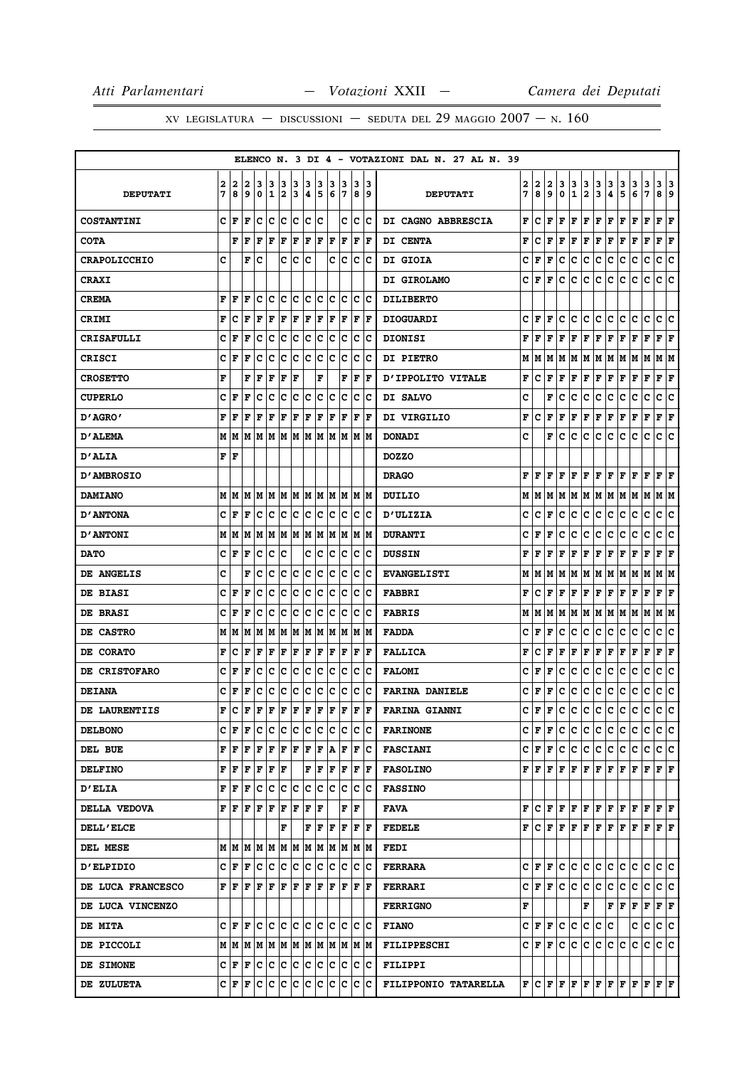|                          |        |                   |                         |        |                   |        |        |        |        |        |                    |             |          | ELENCO N. 3 DI 4 - VOTAZIONI DAL N. 27 AL N. 39 |        |        |               |        |                                                                                                                                                                                                                                                                                                                                                                                                                             |                      |               |                                   |        |        |             |                        |        |
|--------------------------|--------|-------------------|-------------------------|--------|-------------------|--------|--------|--------|--------|--------|--------------------|-------------|----------|-------------------------------------------------|--------|--------|---------------|--------|-----------------------------------------------------------------------------------------------------------------------------------------------------------------------------------------------------------------------------------------------------------------------------------------------------------------------------------------------------------------------------------------------------------------------------|----------------------|---------------|-----------------------------------|--------|--------|-------------|------------------------|--------|
| <b>DEPUTATI</b>          | 2<br>7 | 2<br>8            | 2<br>9                  | з<br>0 | 3<br>$\mathbf{1}$ | 3<br>2 | 3<br>3 | 3<br>4 | з<br>5 | з<br>6 | з<br>7             | 3<br>8      | 3<br>و ا | <b>DEPUTATI</b>                                 | 2<br>7 | 2<br>8 | 2<br>9        | з<br>0 | 3<br>1                                                                                                                                                                                                                                                                                                                                                                                                                      | 3<br>$\mathbf{2}$    | 3<br>3        | 3<br>4                            | 3<br>5 | 3<br>6 | 3<br>7      | 3<br>8                 | з<br>9 |
| <b>COSTANTINI</b>        | с      | F                 | F                       | c      | c                 | c      | ∣c     | c      | с      |        | c                  | c           | Ιc       | <b>DI CAGNO ABBRESCIA</b>                       | F      | c      | F             | l F    | F                                                                                                                                                                                                                                                                                                                                                                                                                           | F                    | F             | F                                 | F      | F      | F           | F                      | F      |
| <b>COTA</b>              |        | F                 | l F                     | F      | l F               | l F    | F      | F      | F      | F      | F                  | $\mathbf F$ | F        | DI CENTA                                        | F      | c      | F             | l F    | F                                                                                                                                                                                                                                                                                                                                                                                                                           | F                    | F             | F                                 | F      | F      | $\mathbf F$ | F                      | F      |
| <b>CRAPOLICCHIO</b>      | C      |                   | F                       | c      |                   | c      | c      | c      |        | C      | Ιc                 | c           | Ιc       | <b>DI GIOIA</b>                                 | c      | F      | l F           | c      | c                                                                                                                                                                                                                                                                                                                                                                                                                           | c                    | c             | c                                 | c      | c      | c           | C                      | c      |
| <b>CRAXI</b>             |        |                   |                         |        |                   |        |        |        |        |        |                    |             |          | <b>DI GIROLAMO</b>                              | c      | ١F     | F             | c      | c                                                                                                                                                                                                                                                                                                                                                                                                                           | с                    | c             | с                                 | c      | c      | с           | c                      | c      |
| <b>CREMA</b>             | F      | F                 | F                       | c      | c                 | c      | c      | c      | Iс     | с      | Iс                 | c           | ΙC       | <b>DILIBERTO</b>                                |        |        |               |        |                                                                                                                                                                                                                                                                                                                                                                                                                             |                      |               |                                   |        |        |             |                        |        |
| <b>CRIMI</b>             | F      | c                 | F                       | F      | F                 | F      | F      | F      | F      | F      | F                  | F           | F        | <b>DIOGUARDI</b>                                | c      | F      | F             | c      | c                                                                                                                                                                                                                                                                                                                                                                                                                           | c                    | lc.           | c                                 | c      | с      | c           | c                      | c      |
| <b>CRISAFULLI</b>        | c      | F                 | F                       | c      | c                 | c      | c      | c      | c      | c      | c                  | c           | Iс       | <b>DIONISI</b>                                  | F      | ΙF     | F             | F      | F                                                                                                                                                                                                                                                                                                                                                                                                                           | F                    | F             | F                                 | F      | F      | F           | F                      | ΙF     |
| CRISCI                   | c      | F                 | F                       | c      | c                 | с      | c      | с      | c      | c      | c                  | c           | Ιc       | <b>DI PIETRO</b>                                | м      | IМ     |               |        | M  M  M  M  M  M  M                                                                                                                                                                                                                                                                                                                                                                                                         |                      |               |                                   |        | M      | M           | M  M                   |        |
| <b>CROSETTO</b>          | F      |                   | F                       | F      | F                 | F      | F      |        | F      |        | F                  | $\mathbf F$ | F        | <b>D'IPPOLITO VITALE</b>                        | F      | c      | F             | F      | F                                                                                                                                                                                                                                                                                                                                                                                                                           | F                    | F             | F                                 | F      | F      | F           | F                      | F      |
| <b>CUPERLO</b>           | c      | F                 | F                       | c      | c                 | c      | c      | c      | с      | c      | Ιc                 | c           | Ιc       | DI SALVO                                        | c      |        | F             | c      | с                                                                                                                                                                                                                                                                                                                                                                                                                           | c                    | lc.           | с                                 | c      | c      | c           | с                      | c      |
| 0'AGRO ש                 | F      | F                 | F                       | F      | F                 | F      | F      | F      | F      | ΙF     | ΙF                 | F           | l F      | DI VIRGILIO                                     | F      | c      | F             | F      | F                                                                                                                                                                                                                                                                                                                                                                                                                           | F                    | F             | F                                 | F      | F      | $\mathbf F$ | ${\bf F} \mid {\bf F}$ |        |
| <b>D'ALEMA</b>           |        | MM                | M                       | M      | M                 | lМ     | М      | lм     | lМ     | lм     | M                  | M           | IМ       | <b>DONADI</b>                                   | c      |        | F             | c      | с                                                                                                                                                                                                                                                                                                                                                                                                                           | с                    | c             | c                                 | c      | c      | c           | c                      | c      |
| <b>D'ALIA</b>            | F F    |                   |                         |        |                   |        |        |        |        |        |                    |             |          | <b>DOZZO</b>                                    |        |        |               |        |                                                                                                                                                                                                                                                                                                                                                                                                                             |                      |               |                                   |        |        |             |                        |        |
| <b>D'AMBROSIO</b>        |        |                   |                         |        |                   |        |        |        |        |        |                    |             |          | <b>DRAGO</b>                                    | F      | l F    | F             | l F    | F                                                                                                                                                                                                                                                                                                                                                                                                                           | F                    | F             | F                                 | l F    | F      | F           | F                      | F      |
| <b>DAMIANO</b>           | M      | M                 | M                       | MM     |                   | M  M   |        | M  M   |        |        | M  M               |             | M  M     | DUILIO                                          | м      | IМ     |               | M M    |                                                                                                                                                                                                                                                                                                                                                                                                                             |                      | M  M  M  M  M |                                   |        | M      | м           | M  M                   |        |
| <b>D'ANTONA</b>          | c      | F                 | l F                     | c      | c                 | c      | c      | c      | c      | c      | Ιc                 | c           | Ιc       | <b>D'ULIZIA</b>                                 | c      | c      | F             | c      | c                                                                                                                                                                                                                                                                                                                                                                                                                           | с                    | c             | c                                 | c      | c      | c           | c                      | c      |
| <b>D'ANTONI</b>          | M      | lМ                | M                       | M      | M                 | M      | lМ     | M      | M      | lм     | lМ                 | lм          | lМ       | <b>DURANTI</b>                                  | c      | ΙF     | F             | c      | с                                                                                                                                                                                                                                                                                                                                                                                                                           | с                    | c             | с                                 | c      | с      | c           | с                      | c      |
| <b>DATO</b>              | с      | ١F                | l F                     | с      | c                 | Ιc     |        | с      | c      | Iс     | Iс                 | Iс          | Ιc       | <b>DUSSIN</b>                                   | F      | l F    | F             | l F    | F                                                                                                                                                                                                                                                                                                                                                                                                                           | $ {\bf F}  {\bf F} $ |               | F                                 | F      | F      | F           | F                      | ١F     |
| <b>DE ANGELIS</b>        | c      |                   | F                       | c      | c                 | с      | c      | c      | c      | с      | Iс                 | c           | ΙC       | <b>EVANGELISTI</b>                              | м      | IМ     | M             | M      |                                                                                                                                                                                                                                                                                                                                                                                                                             | M   M   M            |               | M                                 | M      | M      | M           | M   M                  |        |
| <b>DE BIASI</b>          | c      | F                 | F                       | с      | c                 | c      | c      | c      | Iс     | с      | Iс                 | c           | ΙC       | <b>FABBRI</b>                                   | F      | C      | F             | F      | F                                                                                                                                                                                                                                                                                                                                                                                                                           | F F                  |               | F                                 | F      | F      | F           | $\bf{F}$ $\bf{F}$      |        |
| <b>DE BRASI</b>          | c      | F                 | F                       | c      | c                 | c      | c      | c      | c      | c      | c                  | c           | Iс       | <b>FABRIS</b>                                   | М      | M      | M             | lМ     |                                                                                                                                                                                                                                                                                                                                                                                                                             | M   M   M            |               | M                                 | M      | M      | M           | M   M                  |        |
| <b>DE CASTRO</b>         | M      | M                 | М                       | М      | M                 | M      | M      | М      | M      | M      | M                  | Μ           | lМ       | <b>FADDA</b>                                    | c      | F      | F             | c      | с                                                                                                                                                                                                                                                                                                                                                                                                                           | с                    | c             | с                                 | с      | с      | с           | c                      | ∣c     |
| <b>DE CORATO</b>         | F      | c                 | l F                     | F      | F                 | F      | F      | F      | F      | F      | F                  | F           | F        | <b>FALLICA</b>                                  | F      | c      | F             | F      | F                                                                                                                                                                                                                                                                                                                                                                                                                           | F                    | F             | F                                 | F      | F      | F           | F                      | F      |
| <b>DE CRISTOFARO</b>     | c      | F                 | F                       | c      | c                 | c      | c      | c      | с      | c      | Ιc                 | c           | ΙC       | <b>FALOMI</b>                                   | c      | F      | F             | c      | с                                                                                                                                                                                                                                                                                                                                                                                                                           | c                    | c             | с                                 | c      | c      | c           | с                      | c      |
| <b>DEIANA</b>            | c      | l F               | F                       | c      | c                 | c      | c      | c      | c      | c      | c                  | c           | Ιc       | <b>FARINA DANIELE</b>                           | с      | F      | F             | c      | с                                                                                                                                                                                                                                                                                                                                                                                                                           | с                    | c             | с                                 | c      | с      | с           | c                      | c      |
| DE LAURENTIIS            | F      | с                 | l F                     | F      | F                 | F      | F      | F      | F      | F      | F                  | $\mathbf F$ | F        | <b>FARINA GIANNI</b>                            | c      | ١F     | F             | c      | c                                                                                                                                                                                                                                                                                                                                                                                                                           | c                    | c             | с                                 | c      | c      | c           | c                      | lc.    |
| <b>DELBONO</b>           |        | CF                | F                       | с      | IС                | lc.    | ∣c     | IC.    | Iс     | IC.    | Ιc                 | Iс          | ∣C       | <b>FARINONE</b>                                 |        |        | $C$ $ F $ $F$ | IC.    | IC.                                                                                                                                                                                                                                                                                                                                                                                                                         | $ {\bf C} {\bf C} $  |               | c c                               |        | с      | с           | c c                    |        |
| DEL BUE                  | F      | lF                | F                       | F      | F                 | F      | F      | F      | F      | ١A     | l F                | F           | Iс       | <b>FASCIANI</b>                                 |        |        | C F F C       |        | IC.                                                                                                                                                                                                                                                                                                                                                                                                                         | c c                  |               | c c                               |        | С      | с           | c c                    |        |
| <b>DELFINO</b>           | F      | ١F                | F                       | F      | F                 | F      |        | F      | F      | F      | F                  |             | F  F     | <b>FASOLINO</b>                                 |        |        |               |        | ${\bf F}\, \,{\bf F}\, \,{\bf F}\, \,{\bf F}\, \,{\bf F}\, \,{\bf F}\, \,{\bf F}\, \,{\bf F}\, \,{\bf F}\, \,{\bf F}\, \,{\bf F}\, \,{\bf F}\, \,{\bf F}\,$                                                                                                                                                                                                                                                                 |                      |               |                                   |        |        |             |                        |        |
| <b>D'ELIA</b>            |        | FF                | F                       | Iс     | Ιc                | c      | c      | c c    |        | lc.    | Ιc                 | lc.         | ΙC       | <b>FASSINO</b>                                  |        |        |               |        |                                                                                                                                                                                                                                                                                                                                                                                                                             |                      |               |                                   |        |        |             |                        |        |
| DELLA VEDOVA             |        | FIF               | F                       | F      | F                 | F      | F      | F      | F      |        | F                  | ΙF          |          | FAVA                                            |        |        |               |        | F[C F F F F F F F F F F F]                                                                                                                                                                                                                                                                                                                                                                                                  |                      |               |                                   |        |        |             |                        |        |
| <b>DELL'ELCE</b>         |        |                   |                         |        |                   | F      |        | F      | ١F     | F      | ١F                 |             | F F      | <b>FEDELE</b>                                   |        |        |               |        | ${\bf F}\, \, {\bf C}\, \, {\bf F}\, \, {\bf F}\, \, {\bf F}\, \, {\bf F}\, \, {\bf F}\, \, {\bf F}\, \, {\bf F}\, \, {\bf F}\, \, {\bf F}\, \, {\bf F}\, \, {\bf F}\, \, {\bf F}\, \, {\bf F}\, \, {\bf F}\, \, {\bf F}\, \, {\bf F}\, \, {\bf F}\, \, {\bf F}\, \, {\bf F}\, \, {\bf F}\, \, {\bf F}\, \, {\bf F}\, \, {\bf F}\, \, {\bf F}\, \, {\bf F}\, \, {\bf F}\, \, {\bf F}\, \, {\bf F}\, \, {\bf F}\, \, {\bf F$ |                      |               |                                   |        |        |             |                        |        |
| <b>DEL MESE</b>          |        |                   |                         |        |                   |        |        |        |        |        |                    |             |          | FEDI                                            |        |        |               |        |                                                                                                                                                                                                                                                                                                                                                                                                                             |                      |               |                                   |        |        |             |                        |        |
| <b>D'ELPIDIO</b>         |        | $C \mid F \mid F$ |                         | c c    |                   | c c    |        | c c    |        |        | $ {\bf C} {\bf C}$ | IС          | ΙC       | <b>FERRARA</b>                                  |        |        |               |        | C F F C C C C C C C C C C C                                                                                                                                                                                                                                                                                                                                                                                                 |                      |               |                                   |        |        |             |                        |        |
| <b>DE LUCA FRANCESCO</b> |        | FF                | ΙF                      | F      | l F               | lF.    | lF.    | ١F     | lF.    | ١F     | lF.                | ΙF          | ١F       | <b>FERRARI</b>                                  |        |        |               |        | $C \mid F \mid F \mid C \mid C$                                                                                                                                                                                                                                                                                                                                                                                             | c c                  |               | ∣c                                | c      | c      | c           | c c                    |        |
| DE LUCA VINCENZO         |        |                   |                         |        |                   |        |        |        |        |        |                    |             |          | <b>FERRIGNO</b>                                 | F      |        |               |        |                                                                                                                                                                                                                                                                                                                                                                                                                             | F                    |               | $\mathbf{F} \parallel \mathbf{F}$ |        | F      | F           | $ {\bf F}  {\bf F} $   |        |
| <b>DE MITA</b>           |        | $C$ $ F $ $F$     |                         | lc Ic  |                   | c c    |        | c c    |        |        | lc lc              |             | c  c     | <b>FIANO</b>                                    |        |        |               |        | C F F C C                                                                                                                                                                                                                                                                                                                                                                                                                   |                      | c c c         |                                   |        | c      | с           | c c                    |        |
| <b>DE PICCOLI</b>        |        |                   |                         |        |                   |        |        |        |        |        |                    |             |          | <b>FILIPPESCHI</b>                              |        |        | C F F C       |        | lc.                                                                                                                                                                                                                                                                                                                                                                                                                         |                      | c c c c       |                                   |        | с      | lc.         | lc Ic                  |        |
| <b>DE SIMONE</b>         |        |                   | C F F C C C C C C C C C |        |                   |        |        |        |        |        |                    |             | c c      | <b>FILIPPI</b>                                  |        |        |               |        |                                                                                                                                                                                                                                                                                                                                                                                                                             |                      |               |                                   |        |        |             |                        |        |
| <b>DE ZULUETA</b>        |        | C F F             |                         |        | C C C C           |        |        | lc.    | с      | Iс     | Iс                 | IС          | Ιc       | FILIPPONIO TATARELLA                            |        |        |               |        | ${\bf F}\, {\bf C}\, {\bf F}\, {\bf F}\, {\bf F}\, {\bf F}\, {\bf F}\, {\bf F}\, {\bf F}\, {\bf F}\, {\bf F}\, {\bf F}\, {\bf F}\, {\bf F}\, {\bf F}\, {\bf F}\, {\bf F}\, {\bf F}\, {\bf F}\, {\bf F}\, {\bf F}\, {\bf F}\, {\bf F}\, {\bf F}\, {\bf F}\, {\bf F}\, {\bf F}\, {\bf F}\, {\bf F}\, {\bf F}\, {\bf F}\, {\bf F}\, {\bf F}\, {\bf F}\, {\bf F}\, {\bf F}\, {\bf F}\$                                          |                      |               |                                   |        |        |             |                        |        |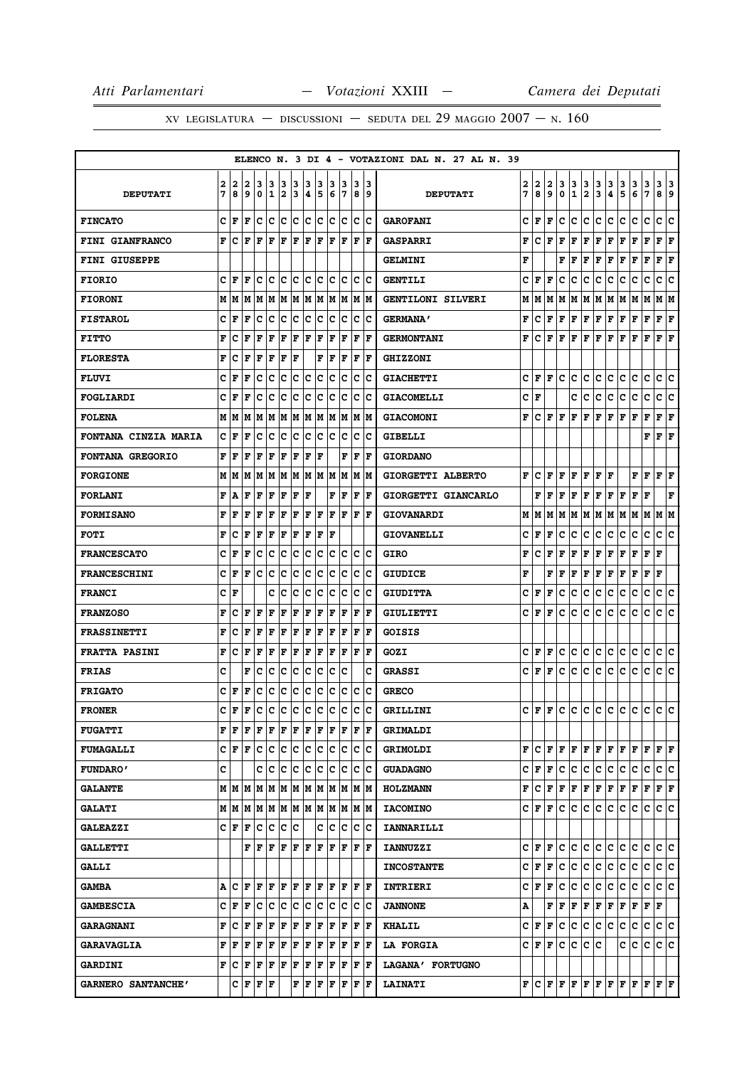|                             |              |              |   |                                                                                                                                                                              |                              |     |                    |                        |             |    |                                                                                                                                                                                                                              |     |                      | ELENCO N. 3 DI 4 - VOTAZIONI DAL N. 27 AL N. 39 |    |       |   |     |                |               |               |   |                                                                                                                                                                                                                                                                                                                                                                                                                             |                                                        |               |                           |     |
|-----------------------------|--------------|--------------|---|------------------------------------------------------------------------------------------------------------------------------------------------------------------------------|------------------------------|-----|--------------------|------------------------|-------------|----|------------------------------------------------------------------------------------------------------------------------------------------------------------------------------------------------------------------------------|-----|----------------------|-------------------------------------------------|----|-------|---|-----|----------------|---------------|---------------|---|-----------------------------------------------------------------------------------------------------------------------------------------------------------------------------------------------------------------------------------------------------------------------------------------------------------------------------------------------------------------------------------------------------------------------------|--------------------------------------------------------|---------------|---------------------------|-----|
|                             | 2            | 2            | 2 | 3                                                                                                                                                                            | 3                            | 3   | 3                  | 3                      | 3           | 3  | 3                                                                                                                                                                                                                            | 3   | 13                   |                                                 | 2  | 2     | 2 | 3   |                |               |               | 3 |                                                                                                                                                                                                                                                                                                                                                                                                                             | 3                                                      |               | 3                         | 3   |
| <b>DEPUTATI</b>             | 7            | 8            | 9 | 0                                                                                                                                                                            | $\mathbf{1}$                 | 2   | 3                  | 4                      | 15          | 6  | 17                                                                                                                                                                                                                           |     | 89                   | <b>DEPUTATI</b>                                 | 7  | 8     | 9 | 0   | $\frac{3}{1}$  | $\frac{3}{2}$ | $\frac{3}{3}$ | 4 | $\frac{3}{5}$                                                                                                                                                                                                                                                                                                                                                                                                               | 6                                                      | $\frac{3}{7}$ | 89                        |     |
| <b>FINCATO</b>              | c            | F            | F | c                                                                                                                                                                            | lc.                          | lc. | ١c                 |                        |             |    | c  c  c  c  c  c                                                                                                                                                                                                             |     |                      | <b>GAROFANI</b>                                 | c  | F     | F | c   | c              | c             | c             | c | c                                                                                                                                                                                                                                                                                                                                                                                                                           | c                                                      | c             | c                         | c   |
| <b>FINI GIANFRANCO</b>      | F            | c            | F | lF.                                                                                                                                                                          | $\mathbf{F}$                 |     |                    |                        |             |    | F F F F F F F F F                                                                                                                                                                                                            |     |                      | <b>GASPARRI</b>                                 | F  | c     | F | F   | F              | F             | F             | F | F                                                                                                                                                                                                                                                                                                                                                                                                                           | F                                                      | $\mathbf F$   | ${\bf F} \,   \, {\bf F}$ |     |
| FINI GIUSEPPE               |              |              |   |                                                                                                                                                                              |                              |     |                    |                        |             |    |                                                                                                                                                                                                                              |     |                      | <b>GELMINI</b>                                  | F  |       |   | F   | F              | F             | F             | F | F                                                                                                                                                                                                                                                                                                                                                                                                                           | F                                                      | F             | F                         | F   |
| <b>FIORIO</b>               |              | CF           | F |                                                                                                                                                                              | c c                          | c c |                    |                        |             |    | c c c c                                                                                                                                                                                                                      |     | c c                  | <b>GENTILI</b>                                  | c  | F     | F | C   | с              | с             | c             | c | c                                                                                                                                                                                                                                                                                                                                                                                                                           | c                                                      | c             | c                         | c   |
| <b>FIORONI</b>              | Μ            | М            | M |                                                                                                                                                                              | M M                          |     |                    |                        |             |    | M  M  M  M  M  M  M  M                                                                                                                                                                                                       |     |                      | GENTILONI SILVERI                               | М  | М     | М | М   | М              | М             | М             | М | M                                                                                                                                                                                                                                                                                                                                                                                                                           | M                                                      | M             | MM                        |     |
| <b>FISTAROL</b>             | c            | F            | F | c                                                                                                                                                                            | с                            | c   | Iс                 | c c                    |             | Iс | ΙC                                                                                                                                                                                                                           |     | c c                  | <b>GERMANA'</b>                                 | F  | с     | F | F   | F              | F             | F             | F | F                                                                                                                                                                                                                                                                                                                                                                                                                           | F                                                      | F             | F                         | F   |
| <b>FITTO</b>                | F            | c            | F | F                                                                                                                                                                            | F                            | F   | F                  | F                      | F           | F  | F                                                                                                                                                                                                                            |     | F  F                 | <b>GERMONTANI</b>                               | F  | c     | F | F   | F              | F             | F             | F | F                                                                                                                                                                                                                                                                                                                                                                                                                           | F                                                      | $\mathbf F$   | ${\bf F} \mid {\bf F}$    |     |
| <b>FLORESTA</b>             | F            | c            | F | F                                                                                                                                                                            | F                            | F   | F                  |                        | F           | İΡ | lF                                                                                                                                                                                                                           | ΙF  | ١F                   | <b>GHIZZONI</b>                                 |    |       |   |     |                |               |               |   |                                                                                                                                                                                                                                                                                                                                                                                                                             |                                                        |               |                           |     |
| <b>FLUVI</b>                | c            | F            | F | с                                                                                                                                                                            | C                            | c   | c                  | c                      | Ιc          | Ιc | Ιc                                                                                                                                                                                                                           |     | c c                  | <b>GIACHETTI</b>                                | с  | F     | F | c   | с              | c             | c             | c | c                                                                                                                                                                                                                                                                                                                                                                                                                           | с                                                      | c             | c                         | lc. |
| <b>FOGLIARDI</b>            | c            | F            | F | c                                                                                                                                                                            | c                            | c   | c                  | c                      | Ιc          | c  | Iс                                                                                                                                                                                                                           | Iс  | Ιc                   | <b>GIACOMELLI</b>                               | c  | F     |   |     | c              | с             | с             | c | с                                                                                                                                                                                                                                                                                                                                                                                                                           | с                                                      | c             | c                         | c   |
| <b>FOLENA</b>               | М            | lМ           | М |                                                                                                                                                                              | M  M  M  M  M  M  M  M  M  M |     |                    |                        |             |    |                                                                                                                                                                                                                              |     |                      | <b>GIACOMONI</b>                                | F  | c     | F | F   | F              | F             | F             | F | F                                                                                                                                                                                                                                                                                                                                                                                                                           | F                                                      | F             | ${\bf F} \mid {\bf F}$    |     |
| <b>FONTANA CINZIA MARIA</b> | c            | $\mathbf{F}$ | F | c                                                                                                                                                                            | lc.                          | lc. | $\bar{\mathbf{c}}$ | c c                    |             |    | c c                                                                                                                                                                                                                          |     | c c                  | GIBELLI                                         |    |       |   |     |                |               |               |   |                                                                                                                                                                                                                                                                                                                                                                                                                             |                                                        | F             | $ {\bf F}  {\bf F} $      |     |
| <b>FONTANA GREGORIO</b>     | F            | F            | F | F                                                                                                                                                                            | F                            | F   | F                  | F                      | ΙF          |    | F                                                                                                                                                                                                                            | F   | ١F                   | <b>GIORDANO</b>                                 |    |       |   |     |                |               |               |   |                                                                                                                                                                                                                                                                                                                                                                                                                             |                                                        |               |                           |     |
| <b>FORGIONE</b>             |              | M   M        | M |                                                                                                                                                                              | M  M  M  M  M  M  M  M  M  M |     |                    |                        |             |    |                                                                                                                                                                                                                              |     |                      | GIORGETTI ALBERTO                               | F  | c     | F | F   | F              | F             | F             | F |                                                                                                                                                                                                                                                                                                                                                                                                                             | F                                                      | F             | F F                       |     |
| <b>FORLANI</b>              | F            | А            | F | F                                                                                                                                                                            | F                            | F   | F                  | F                      |             | F  | F                                                                                                                                                                                                                            | ΙF  | ١F                   | GIORGETTI GIANCARLO                             |    | F     | F | F   | F              | F             | F             | F | F                                                                                                                                                                                                                                                                                                                                                                                                                           | F                                                      | F             |                           | F   |
| <b>FORMISANO</b>            | F            | F            | F | F                                                                                                                                                                            | F                            | F   | F                  | F   F                  |             |    | F  F                                                                                                                                                                                                                         |     | $ {\bf F}  {\bf F} $ | <b>GIOVANARDI</b>                               | М  | М     | М | М   | М              | М             | М             | М | M                                                                                                                                                                                                                                                                                                                                                                                                                           | Μ                                                      | М             | M  M                      |     |
| <b>FOTI</b>                 | F            | c            | F | F                                                                                                                                                                            | $\mathbf F$                  | F   | F                  | F                      | F           | lF |                                                                                                                                                                                                                              |     |                      | <b>GIOVANELLI</b>                               | C  | F     | F | c   | с              | с             | с             | с | c                                                                                                                                                                                                                                                                                                                                                                                                                           | c                                                      | с             | c                         | c   |
| <b>FRANCESCATO</b>          | c            | F            | F | c                                                                                                                                                                            | c                            | c   | c                  | $ {\rm c}\, {\rm c}\>$ |             |    | c c                                                                                                                                                                                                                          |     | c c                  | GIRO                                            | F  | c     | F | F   | F              | F             | F             | F | F                                                                                                                                                                                                                                                                                                                                                                                                                           | F                                                      | $\mathbf F$   | F                         |     |
| <b>FRANCESCHINI</b>         | c            | F            | F | с                                                                                                                                                                            | c                            | Ιc  | c                  | c c                    |             | Iс | Ιc                                                                                                                                                                                                                           |     | c c                  | <b>GIUDICE</b>                                  | F  |       | F | F   | F              | F             | F             | F | F                                                                                                                                                                                                                                                                                                                                                                                                                           | F                                                      | F             | F                         |     |
| <b>FRANCI</b>               | с            | F            |   |                                                                                                                                                                              | c                            | Ιc  | c                  | lc.                    | Ιc          | c  | lc                                                                                                                                                                                                                           | lc. | ١c                   | <b>GIUDITTA</b>                                 | с  | F     | F | c   | с              | c             | с             | c | c                                                                                                                                                                                                                                                                                                                                                                                                                           | с                                                      | c             | c                         | c   |
| <b>FRANZOSO</b>             | F            | c            | F | F                                                                                                                                                                            | F                            | F   | F                  | F                      | F           | F  | F                                                                                                                                                                                                                            |     | F  F                 | GIULIETTI                                       | c  | F     | F | с   | c              | c             | c             | c | c                                                                                                                                                                                                                                                                                                                                                                                                                           | c                                                      | c             | c c                       |     |
| <b>FRASSINETTI</b>          | F            | c            | F | F                                                                                                                                                                            | $\mathbf F$                  | l F | F                  | F                      | F           | F  | lF                                                                                                                                                                                                                           | l F | ١F                   | <b>GOISIS</b>                                   |    |       |   |     |                |               |               |   |                                                                                                                                                                                                                                                                                                                                                                                                                             |                                                        |               |                           |     |
| <b>FRATTA PASINI</b>        | F            | с            | F | F                                                                                                                                                                            | F                            | F   | F                  | F                      | F           | F  | F                                                                                                                                                                                                                            |     | $ {\bf F}  {\bf F} $ | GOZI                                            | с  | F     | F | с   | с              | с             | с             | с | с                                                                                                                                                                                                                                                                                                                                                                                                                           | с                                                      | c             | c c                       |     |
| <b>FRIAS</b>                | C            |              | F | c                                                                                                                                                                            | c                            | c   | c                  | c                      | c           | c  | Ιc                                                                                                                                                                                                                           |     | c                    | <b>GRASSI</b>                                   | c  | F     | F | c   | c              | c             | c             | c | c                                                                                                                                                                                                                                                                                                                                                                                                                           | c                                                      | c             | c                         | lc. |
| <b>FRIGATO</b>              |              | CF           | F |                                                                                                                                                                              | c  c  c  c  c  c  c  c  c  c |     |                    |                        |             |    |                                                                                                                                                                                                                              |     |                      | <b>GRECO</b>                                    |    |       |   |     |                |               |               |   |                                                                                                                                                                                                                                                                                                                                                                                                                             |                                                        |               |                           |     |
| <b>FRONER</b>               | $\mathbf{c}$ | F            |   | Fccccccccccccccc                                                                                                                                                             |                              |     |                    |                        |             |    |                                                                                                                                                                                                                              |     |                      | <b>GRILLINI</b>                                 | C. | F     | F | lc. | $\overline{c}$ |               |               |   | le le le le le l                                                                                                                                                                                                                                                                                                                                                                                                            |                                                        |               | le le l                   |     |
| <b>FUGATTI</b>              |              | FF           |   | ${\bf F} \,   \, {\bf F} \,   \, {\bf F} \,   \, {\bf F} \,   \, {\bf F} \,   \, {\bf F} \,   \, {\bf F} \,   \, {\bf F} \,   \, {\bf F} \,   \, {\bf F} \,   \, {\bf F} \,$ |                              |     |                    |                        |             |    |                                                                                                                                                                                                                              |     |                      | <b>GRIMALDI</b>                                 |    |       |   |     |                |               |               |   |                                                                                                                                                                                                                                                                                                                                                                                                                             |                                                        |               |                           |     |
| <b>FUMAGALLI</b>            |              |              |   | C F F C C C C C C C C C C C C                                                                                                                                                |                              |     |                    |                        |             |    |                                                                                                                                                                                                                              |     |                      | <b>GRIMOLDI</b>                                 |    |       |   |     |                |               |               |   | ${\bf F}\, \, {\bf C}\, \, {\bf F}\, \, {\bf F}\, \, {\bf F}\, \, {\bf F}\, \, {\bf F}\, \, {\bf F}\, \, {\bf F}\, \, {\bf F}\, \, {\bf F}\, \, {\bf F}\, \, {\bf F}\, \, {\bf F}\, \, {\bf F}\, \, {\bf F}\, \, {\bf F}\, \, {\bf F}\, \, {\bf F}\, \, {\bf F}\, \, {\bf F}\, \, {\bf F}\, \, {\bf F}\, \, {\bf F}\, \, {\bf F}\, \, {\bf F}\, \, {\bf F}\, \, {\bf F}\, \, {\bf F}\, \, {\bf F}\, \, {\bf F}\, \, {\bf F$ |                                                        |               |                           |     |
| <b>FUNDARO'</b>             | c            |              |   |                                                                                                                                                                              | c  c  c  c  c  c  c  c  c  c |     |                    |                        |             |    |                                                                                                                                                                                                                              |     |                      | <b>GUADAGNO</b>                                 |    | C F   | F | с   | с              | с             | c             | c | c                                                                                                                                                                                                                                                                                                                                                                                                                           | c                                                      | c             | C C                       |     |
| <b>GALANTE</b>              |              |              |   | $M$   $M$   $M$   $M$   $M$   $M$   $M$   $M$   $M$   $M$   $M$                                                                                                              |                              |     |                    |                        |             |    |                                                                                                                                                                                                                              |     |                      | <b>HOLZMANN</b>                                 | F  | c     | F | F   | F              |               |               |   | $\mathbf{F} \left  \mathbf{F} \right. \left. \left. \right  \mathbf{F} \left. \right  \mathbf{F} \left. \right  \mathbf{F} \left. \right  \mathbf{F} \left. \right  \mathbf{F} \left. \right  \mathbf{F} \right.$                                                                                                                                                                                                           |                                                        |               |                           |     |
| <b>GALATI</b>               |              |              |   |                                                                                                                                                                              |                              |     |                    |                        |             |    |                                                                                                                                                                                                                              |     |                      | <b>IACOMINO</b>                                 |    | C F   | F | c   | с              | c             | c.            | c | c                                                                                                                                                                                                                                                                                                                                                                                                                           | c                                                      | с             | c c                       |     |
| <b>GALEAZZI</b>             |              |              |   | C F F C C C C                                                                                                                                                                |                              |     |                    |                        |             |    | lc lc lc lc lc                                                                                                                                                                                                               |     |                      | <b>IANNARILLI</b>                               |    |       |   |     |                |               |               |   |                                                                                                                                                                                                                                                                                                                                                                                                                             |                                                        |               |                           |     |
| <b>GALLETTI</b>             |              |              |   | F   F   F   F   F   F   F   F   F   F                                                                                                                                        |                              |     |                    |                        |             |    |                                                                                                                                                                                                                              |     |                      | <b>IANNUZZI</b>                                 |    | C F   | F | c   | $\mathbf{C}$   |               |               |   |                                                                                                                                                                                                                                                                                                                                                                                                                             |                                                        |               |                           |     |
| <b>GALLI</b>                |              |              |   |                                                                                                                                                                              |                              |     |                    |                        |             |    |                                                                                                                                                                                                                              |     |                      | <b>INCOSTANTE</b>                               |    | CF    | F | c   | c              | c             | c             | c | c                                                                                                                                                                                                                                                                                                                                                                                                                           | c                                                      | c c c         |                           |     |
| <b>GAMBA</b>                |              |              |   | A  C  F  F  F  F  F  F  F  F  F  F  F                                                                                                                                        |                              |     |                    |                        |             |    |                                                                                                                                                                                                                              |     |                      | <b>INTRIERI</b>                                 |    | C F F |   | с   | с              |               | C C           | c | C                                                                                                                                                                                                                                                                                                                                                                                                                           | c c c c                                                |               |                           |     |
| <b>GAMBESCIA</b>            |              |              |   | C F F C C C C C C C C C                                                                                                                                                      |                              |     |                    |                        |             |    |                                                                                                                                                                                                                              |     | c  c                 | <b>JANNONE</b>                                  | Α  |       | F | F   | F              | F             | F             | F | F                                                                                                                                                                                                                                                                                                                                                                                                                           | $\mathbf{F} \parallel \mathbf{F} \parallel \mathbf{F}$ |               |                           |     |
| <b>GARAGNANI</b>            |              |              |   | F[C F F F]                                                                                                                                                                   |                              |     |                    |                        | F F F F F F |    |                                                                                                                                                                                                                              |     | F F                  | <b>KHALIL</b>                                   |    | C F F |   | с   | c              | c             | c             | с | с                                                                                                                                                                                                                                                                                                                                                                                                                           | с                                                      | с             | c c                       |     |
| <b>GARAVAGLIA</b>           |              | FF           | F | F                                                                                                                                                                            | ΙF                           |     |                    |                        | F F F F F F |    |                                                                                                                                                                                                                              |     | F F                  | <b>LA FORGIA</b>                                |    | C F F |   | c   | c              |               | c c           |   | c                                                                                                                                                                                                                                                                                                                                                                                                                           | c                                                      | c             | c c                       |     |
| <b>GARDINI</b>              |              |              |   | ${\bf F}$ $\bf  C $ $\bf F$ $\bf  F$ $\bf  F$ $\bf  F$ $\bf  F$ $\bf  F$ $\bf  F$ $\bf  F$ $\bf  F$ $\bf  F$                                                                 |                              |     |                    |                        |             |    |                                                                                                                                                                                                                              |     |                      | LAGANA' FORTUGNO                                |    |       |   |     |                |               |               |   |                                                                                                                                                                                                                                                                                                                                                                                                                             |                                                        |               |                           |     |
| GARNERO SANTANCHE'          |              |              |   | $C \mid F \mid F \mid F$                                                                                                                                                     |                              |     |                    |                        |             |    | $\mathbf{F} \left  \mathbf{F} \right. \left  \mathbf{F} \right. \left  \mathbf{F} \right. \left  \mathbf{F} \right. \left  \mathbf{F} \right. \left  \mathbf{F} \right. \left  \mathbf{F} \right. \left  \mathbf{F} \right.$ |     |                      | <b>LAINATI</b>                                  |    |       |   |     |                |               |               |   | ${\bf F}\, {\bf C}\, {\bf F}\, {\bf F}\, {\bf F}\, {\bf F}\, {\bf F}\, {\bf F}\, {\bf F}\, {\bf F}\, {\bf F}\, {\bf F}\, {\bf F}\, {\bf F}\, {\bf F}\, {\bf F}\, {\bf F}\, {\bf F}\, {\bf F}\, {\bf F}\, {\bf F}\, {\bf F}\, {\bf F}\, {\bf F}\, {\bf F}\, {\bf F}\, {\bf F}\, {\bf F}\, {\bf F}\, {\bf F}\, {\bf F}\, {\bf F}\, {\bf F}\, {\bf F}\, {\bf F}\, {\bf F}\, {\bf F}\$                                          |                                                        |               |                           |     |
|                             |              |              |   |                                                                                                                                                                              |                              |     |                    |                        |             |    |                                                                                                                                                                                                                              |     |                      |                                                 |    |       |   |     |                |               |               |   |                                                                                                                                                                                                                                                                                                                                                                                                                             |                                                        |               |                           |     |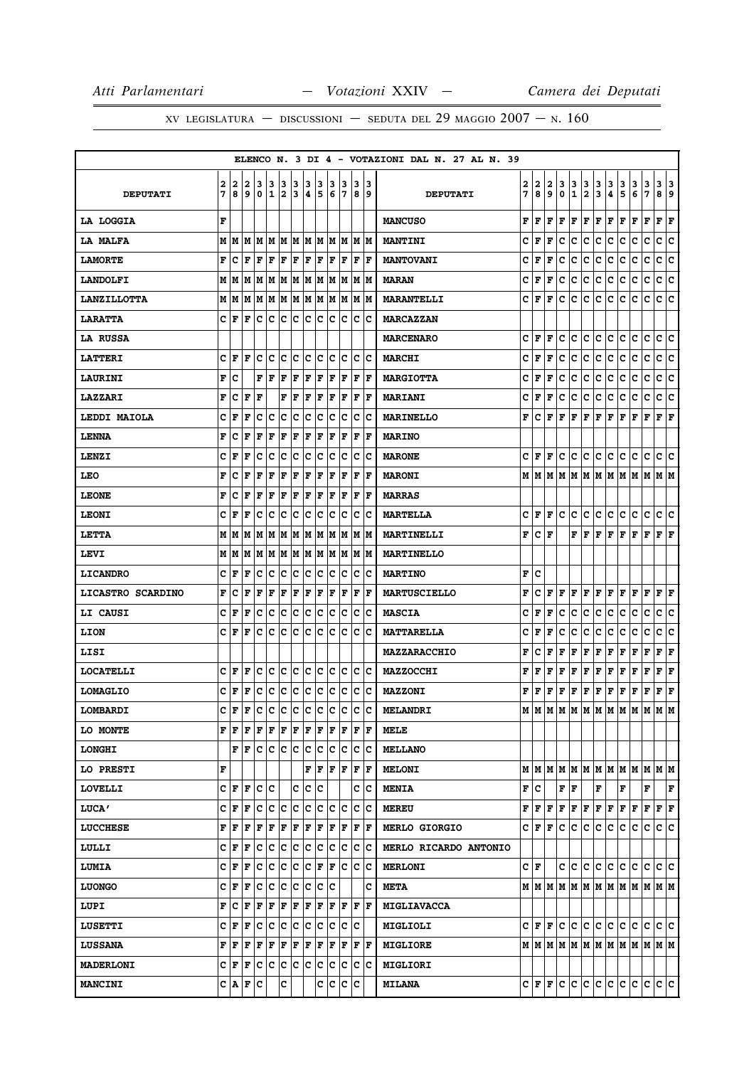|                     |   |         |            |                     |         |     |    |     |                  |     |      |             |     | ELENCO N. 3 DI 4 - VOTAZIONI DAL N. 27 AL N. 39 |   |                       |   |     |              |                         |                         |     |                 |                                                                       |             |                      |     |
|---------------------|---|---------|------------|---------------------|---------|-----|----|-----|------------------|-----|------|-------------|-----|-------------------------------------------------|---|-----------------------|---|-----|--------------|-------------------------|-------------------------|-----|-----------------|-----------------------------------------------------------------------|-------------|----------------------|-----|
|                     | 2 | 2       | 2          | 3                   | 13      | 3   | 3  | 3   | 3                | 3   | 13   | 3           | 13  |                                                 | 2 | 2                     | 2 | 3   | 3            | 3                       | 3                       | 3   | 3               | 3                                                                     | 3           | 313                  |     |
| <b>DEPUTATI</b>     | 7 | 8       | و ا        | ۱٥.                 | 11      | 2   | 13 | 4   | 5                | 6   | 17   |             | 89  | <b>DEPUTATI</b>                                 | 7 | 8                     | 9 | 0   | $\mathbf{1}$ | $\overline{\mathbf{2}}$ | $\overline{\mathbf{3}}$ | 4   | 5               | 6                                                                     | 7           | 8 9                  |     |
| LA LOGGIA           | F |         |            |                     |         |     |    |     |                  |     |      |             |     | <b>MANCUSO</b>                                  | F | F                     | F | F   | F            | F                       | F                       | F   | F               | F                                                                     | F           | $ {\bf F}  {\bf F} $ |     |
| LA MALFA            |   |         |            |                     |         |     |    |     |                  |     |      |             |     | <b>MANTINI</b>                                  | c | F                     | F | c   | c            | c                       | c                       | c   | c               | c                                                                     | c           | c                    | c   |
| <b>LAMORTE</b>      | F | с       | l F        | l F                 | ΙF      | F   | F  | F   | F                | F   | F    | F           | lF. | <b>MANTOVANI</b>                                | c | l F                   | F | c   | с            | c                       | c                       | с   | c               | c                                                                     | $\mathbf C$ | c                    | c   |
| <b>LANDOLFI</b>     |   |         |            |                     |         |     |    |     |                  |     |      |             | M M | <b>MARAN</b>                                    | c | F                     | F | c   | c            | c                       | c                       | c   | c               | c                                                                     | c           | c c                  |     |
| <b>LANZILLOTTA</b>  |   | MM      |            | M  M  M  M  M  M  M |         |     |    |     |                  | lм  | M    | M           | lм  | <b>MARANTELLI</b>                               | c | l F                   | F | c   | c            | с                       | c                       | c   | с               | с                                                                     | c           | c                    | lc. |
| <b>LARATTA</b>      |   | C F F   |            | c c                 |         | c c |    | lc. | c                | lc. | Iс   | c           | Ιc  | <b>MARCAZZAN</b>                                |   |                       |   |     |              |                         |                         |     |                 |                                                                       |             |                      |     |
| LA RUSSA            |   |         |            |                     |         |     |    |     |                  |     |      |             |     | <b>MARCENARO</b>                                | c | lF.                   | F | c   | c            | c                       | c                       | c   | c               | c                                                                     | c           | c                    | c   |
| <b>LATTERI</b>      |   | C∣F     | l F        | с                   | lc      | Ιc  | ΙC | Ιc  | Iс               | c   | Iс   | c           | ١c  | <b>MARCHI</b>                                   | c | F                     | F | c   | c            | c                       | c                       | c   | c               | c                                                                     | c           | c c                  |     |
| <b>LAURINI</b>      | F | ١c      |            | F                   | ΙF      | F   | F  | F   | F                | F   | F    | F           | ١F  | <b>MARGIOTTA</b>                                | c | F                     | F | c   | lc.          | c                       | c                       | c   | c               | c                                                                     | c           | c                    | c   |
| <b>LAZZARI</b>      | F | C       | l F        | F                   |         | F   | F  | F   | F                | F   | F    | F           | F   | <b>MARIANI</b>                                  | c | F                     | F | c   | c            | c                       | c                       | с   | c               | с                                                                     | c           | c                    | Iс  |
| <b>LEDDI MAIOLA</b> | c | F       | F          | с                   | c       | IC. | c  | c   | c                | c   | Iс   | c           | ΙC  | <b>MARINELLO</b>                                | F | c                     | F | F   | F            | F                       | F                       | F   | F               | F                                                                     | F           | $\bf{F}$ $\bf{F}$    |     |
| <b>LENNA</b>        | F | c       | F          | F                   | F       | F   | F  | F   | F                | l F | F    | F           | l F | <b>MARINO</b>                                   |   |                       |   |     |              |                         |                         |     |                 |                                                                       |             |                      |     |
| LENZI               | c | F       | F          | c                   | c       | c   | c  | c   | c                | c   | Ιc   | $\mathbf C$ | Ιc  | <b>MARONE</b>                                   |   | $C  {\bf F}  {\bf F}$ |   | c   | c            | c.                      | c                       | c.  | lc.             | c                                                                     | c           | c c                  |     |
| LEO                 | F | Iс      | F          | F                   | F       | F   | F  | F   | F                | F   | F    | F           | lF. | <b>MARONI</b>                                   |   |                       |   |     |              |                         |                         |     |                 |                                                                       |             |                      |     |
| <b>LEONE</b>        | F | Iс      | F          | F                   | F       | F   | F  | F   | F                | F   | F    | F           | l F | <b>MARRAS</b>                                   |   |                       |   |     |              |                         |                         |     |                 |                                                                       |             |                      |     |
| <b>LEONI</b>        | c | F       | F          | Ιc                  | Iс      | c   | Iс | c   | c                | lc. | Iс   | IС          | Ιc  | <b>MARTELLA</b>                                 |   | C  F  F               |   | c   | lc.          | c.                      | c                       | c.  | lc.             | lc.                                                                   | Iс          | c c                  |     |
| LETTA               |   | MM      | lМ         |                     |         |     |    |     | M  M  M  M  M  M | lм  | lМ   | M           | lм  | MARTINELLI                                      | F | c                     | F |     | F            | l F                     | F                       | F   | F               | lF.                                                                   | F           | $ {\bf F}  {\bf F} $ |     |
| LEVI                |   |         | M   M   M  |                     | MM      | M M |    |     | MM               |     | M  M |             | M M | <b>MARTINELLO</b>                               |   |                       |   |     |              |                         |                         |     |                 |                                                                       |             |                      |     |
| <b>LICANDRO</b>     | c | l F     | l F        | Iс                  | c       | c   | c  | c   | c                | c   | Ιc   | c           | c   | <b>MARTINO</b>                                  | F | c                     |   |     |              |                         |                         |     |                 |                                                                       |             |                      |     |
| LICASTRO SCARDINO   | F | ١c      | F          | F                   | F       | F   | F  | F   | F                | F   | F    | F           | F   | <b>MARTUSCIELLO</b>                             | F | c                     | F |     | F F          | F F                     |                         | F F |                 | F F                                                                   |             | $ {\bf F}  {\bf F} $ |     |
| LI CAUSI            | c | F       | F          | с                   | Ιc      | c   | c  | Ιc  | c                | lc. | Iс   | c           | Ιc  | <b>MASCIA</b>                                   | c | F                     | F | c   | с            | с                       | c                       | с   | с               | с                                                                     | с           | c                    | c   |
| LION                |   | C  F    | F          | Iс                  | Ιc      | Ιc  | ١c | lc  | Iс               | lc. | Ιc   | Iс          | ΙC  | <b>MATTARELLA</b>                               | c | F                     | F | c   | c            | c                       | c                       | c   | c               | c                                                                     | c           | c                    | lc. |
| LISI                |   |         |            |                     |         |     |    |     |                  |     |      |             |     | <b>MAZZARACCHIO</b>                             | F | c                     | F | F   | F            | F                       | F                       | F   | F               | F                                                                     | F           | F F                  |     |
| <b>LOCATELLI</b>    | c | ١F      | l F        | Iс                  | Ιc      | lc. | ∣c | c c |                  | Iс  | Ιc   | Iс          | ΙC  | <b>MAZZOCCHI</b>                                | F | l F                   | F | F   | F            | F                       | F                       | Г   | F               | F                                                                     | F           | Г                    | F   |
| <b>LOMAGLIO</b>     |   | C  F    | F          | c                   | ∣c      | c   | ∣c | ∣c. | ∣c               | c   | c    |             | c c | <b>MAZZONI</b>                                  | F | F F                   |   | F   | F            | F F                     |                         | F F |                 | F                                                                     | F           | $ {\bf F}  {\bf F} $ |     |
| LOMBARDI            | c | F       | l F        | c                   | c c c c |     |    |     | c                | c   | c    | c           | c   | <b>MELANDRI</b>                                 |   | м∣м                   |   |     |              |                         |                         |     | м м м м м м м м |                                                                       | M M M       |                      |     |
| LO MONTE            |   | F F     | F          | F                   | F       | F   | ΙF | F   | F                | F   | F    | F           | ١F  | MELE                                            |   |                       |   |     |              |                         |                         |     |                 |                                                                       |             |                      |     |
| <b>LONGHI</b>       |   |         | FF         | c c c c c c         |         |     |    |     |                  | IC. | Iс   | IС          | ΙC  | <b>MELLANO</b>                                  |   |                       |   |     |              |                         |                         |     |                 |                                                                       |             |                      |     |
| LO PRESTI           | F |         |            |                     |         |     |    | F   | F                | F   | F    | F           | ١F  | <b>MELONI</b>                                   |   |                       |   |     |              |                         |                         |     |                 | $M$   $M$   $M$   $M$   $M$   $M$   $M$   $M$   $M$   $M$   $M$   $M$ |             |                      |     |
| <b>LOVELLI</b>      |   |         | C F F C C  |                     |         |     | c  | c c |                  |     |      | c           | ΙC  | <b>MENIA</b>                                    |   | F∣C                   |   |     | FF           |                         | F                       |     | F               |                                                                       | F           |                      | F   |
| <b>LUCA'</b>        | c | F       | F          | с                   | c       | c   | ∣c | c   | Iс               | c   | Ιc   | с           | Ιc  | <b>MEREU</b>                                    | F | F                     | F | F   | F            | F                       | F                       | F   | F               | F                                                                     | F           | $ {\bf F}  {\bf F} $ |     |
| <b>LUCCHESE</b>     | F | F       | F          | F                   | F       | F   | F  | F   | F                | F   | F    | F           | F   | <b>MERLO GIORGIO</b>                            |   | C  F  F               |   | lc. | IC.          | c                       | c                       | c   | c               | c                                                                     | c           | c c                  |     |
| LULLI               | c | F       | F          | c                   | c       | c   | c  | c   | c                | lc. | lc.  | c           | c   | MERLO RICARDO ANTONIO                           |   |                       |   |     |              |                         |                         |     |                 |                                                                       |             |                      |     |
| <b>LUMIA</b>        |   | C  F    | F          | Iс                  | c       | c   | c  | c   | F                | F   | Ιc   | c           | Iс  | <b>MERLONI</b>                                  |   | C∣F                   |   |     | c c          | c c                     |                         | c.  | c               | lc.                                                                   | lc.         | c c                  |     |
| <b>LUONGO</b>       |   | C F     | F          | Ιc                  | c       | c   | c  | lc. | Iс               | Ιc  |      |             | с   | <b>META</b>                                     |   |                       |   |     |              |                         |                         |     |                 |                                                                       |             |                      |     |
| LUPI                | F | C       | ΙF         | F                   | F       | F   | F  | F   | F                | F   | F    | F           | lF. | <b>MIGLIAVACCA</b>                              |   |                       |   |     |              |                         |                         |     |                 |                                                                       |             |                      |     |
| <b>LUSETTI</b>      |   | C F     | ΙF         | c c c c             |         |     |    | c c |                  |     |      | c c c       |     | MIGLIOLI                                        |   |                       |   |     |              |                         |                         |     |                 | C F F C C C C C C C C C C C                                           |             |                      |     |
| <b>LUSSANA</b>      |   | F  F    | F          | F                   | F       | F   | F  | F   | F                | F   | F    | F           | lF. | <b>MIGLIORE</b>                                 |   |                       |   |     |              |                         |                         |     |                 | $M$   $M$   $M$   $M$   $M$   $M$   $M$   $M$   $M$   $M$   $M$   $M$ |             |                      |     |
| <b>MADERLONI</b>    |   | C  F  F |            | Iс                  | ∣c      | c   | ∣c | c   | ∣c               | c   | c    | c           | Ιc  | <b>MIGLIORI</b>                                 |   |                       |   |     |              |                         |                         |     |                 |                                                                       |             |                      |     |
| <b>MANCINI</b>      |   |         | C  A  F  C |                     |         | c   |    |     | с                | Iс  | lc.  | c           |     | <b>MILANA</b>                                   |   |                       |   |     |              |                         |                         |     |                 | C F F C C C C C C C C C C                                             |             | c c                  |     |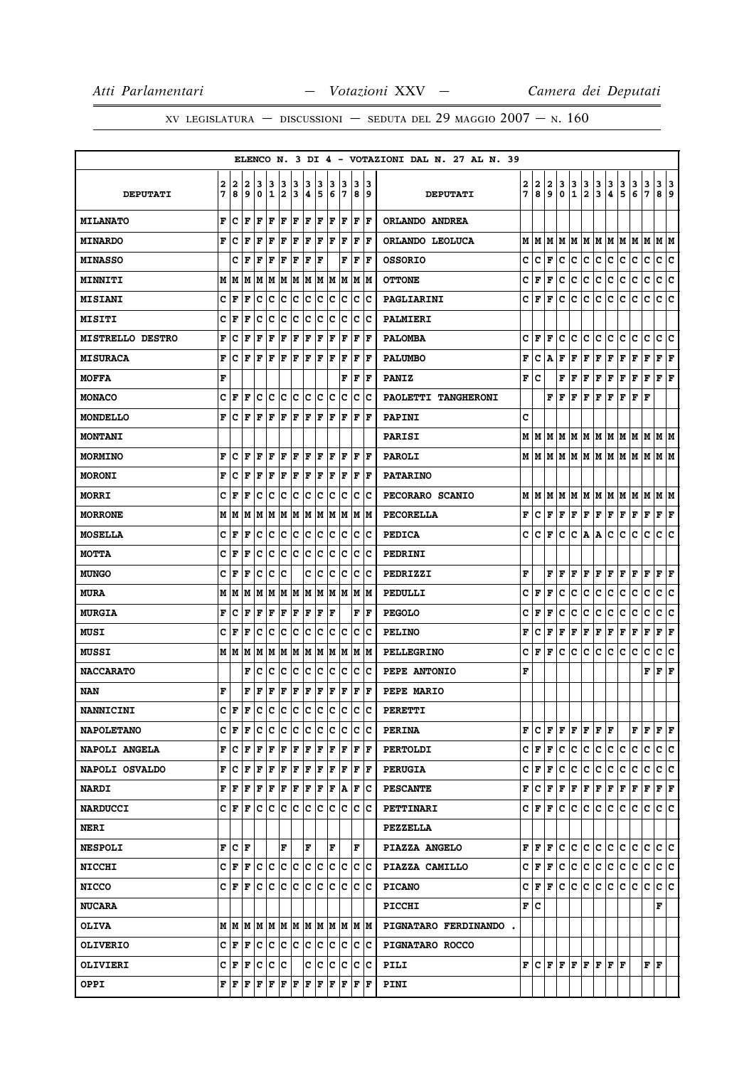|                         |        |        |                                 |        |                   |        |         |        |                                 |        |         |        |                      | ELENCO N. 3 DI 4 - VOTAZIONI DAL N. 27 AL N. 39 |        |        |        |                  |                                                                                     |               |               |               |                                                                                                                                                                                                                                                                                                                                                                                                                                                                                            |        |        |                           |        |
|-------------------------|--------|--------|---------------------------------|--------|-------------------|--------|---------|--------|---------------------------------|--------|---------|--------|----------------------|-------------------------------------------------|--------|--------|--------|------------------|-------------------------------------------------------------------------------------|---------------|---------------|---------------|--------------------------------------------------------------------------------------------------------------------------------------------------------------------------------------------------------------------------------------------------------------------------------------------------------------------------------------------------------------------------------------------------------------------------------------------------------------------------------------------|--------|--------|---------------------------|--------|
| <b>DEPUTATI</b>         | 2<br>7 | 2<br>8 | 2<br>9                          | 3<br>0 | 3<br>$\mathbf{1}$ | 3<br>2 | з<br>13 | з<br>4 | 3<br>5                          | з<br>6 | 3<br>17 | з<br>8 | 13<br>و              | <b>DEPUTATI</b>                                 | 2<br>7 | 2<br>8 | 2<br>9 | 3<br>$\mathbf 0$ | $\frac{3}{1}$                                                                       | $\frac{3}{2}$ | $\frac{3}{3}$ | $\frac{3}{4}$ | $\frac{3}{5}$                                                                                                                                                                                                                                                                                                                                                                                                                                                                              | 3<br>6 | 3<br>7 | 3<br>8                    | 3<br>9 |
| <b>MILANATO</b>         | F      | с      | F                               | l F    | F                 | F      | F       | F F    |                                 |        | F F     | F      | ١F                   | ORLANDO ANDREA                                  |        |        |        |                  |                                                                                     |               |               |               |                                                                                                                                                                                                                                                                                                                                                                                                                                                                                            |        |        |                           |        |
| <b>MINARDO</b>          | F      | с      | l F                             | F      | l F               | F      | l F     | F      | lF.                             | ΙF     | F       | F      | lF                   | ORLANDO LEOLUCA                                 |        | MM     |        |                  |                                                                                     |               |               |               | MIMIMIMIMIMIMIMIM                                                                                                                                                                                                                                                                                                                                                                                                                                                                          |        |        |                           |        |
| <b>MINASSO</b>          |        | c      | F                               | l F    | F                 | F      | F       | F      | ΙF                              |        | F       | F      | F                    | <b>OSSORIO</b>                                  | c      | c      | F      | c                | c                                                                                   |               | c c           | c             | c.                                                                                                                                                                                                                                                                                                                                                                                                                                                                                         | c      | с      | c c                       |        |
| <b>MINNITI</b>          | м      | lМ     |                                 |        |                   |        |         |        | M  M  M  M  M  M  M  M  M  M  M |        |         |        |                      | <b>OTTONE</b>                                   | c      | F      | F      | c                | с                                                                                   | с             | lc.           | с             | с                                                                                                                                                                                                                                                                                                                                                                                                                                                                                          | с      | с      | с                         | lc.    |
| <b>MISIANI</b>          | с      | ١F     | l F                             | c      | Ιc                | Iс     | ΙC      | Ιc     | Iс                              | Ιc     | Iс      | ΙC     | ΙC                   | PAGLIARINI                                      | c      | F      | F      | c                | с                                                                                   | c             | c             | c             | с                                                                                                                                                                                                                                                                                                                                                                                                                                                                                          | c      | c      | c                         | Iс     |
| <b>MISITI</b>           | с      | F      | F                               | c      | c                 | c      | ∣c      | c      | Iс                              | c      | Iс      | c      | ΙC                   | PALMIERI                                        |        |        |        |                  |                                                                                     |               |               |               |                                                                                                                                                                                                                                                                                                                                                                                                                                                                                            |        |        |                           |        |
| <b>MISTRELLO DESTRO</b> | F      | Iс     | l F                             | l F    | F                 | F      | F       | F      | F                               | ΙF     | F       | F      | F                    | <b>PALOMBA</b>                                  | с      | F      | F      | c                | с                                                                                   | c             | с             | c             | с                                                                                                                                                                                                                                                                                                                                                                                                                                                                                          | с      | с      | с                         | c      |
| <b>MISURACA</b>         | F      | с      | F                               | F      | F                 | F      | F       | F F    |                                 | F      | F       | F      | ١F                   | <b>PALUMBO</b>                                  | F      | с      | А      | F                | F                                                                                   | F             | F             | F             | Г                                                                                                                                                                                                                                                                                                                                                                                                                                                                                          | F      | F      | ${\bf F} \,   \, {\bf F}$ |        |
| <b>MOFFA</b>            | F      |        |                                 |        |                   |        |         |        |                                 |        | F       | F      | l F                  | <b>PANIZ</b>                                    | F      | c      |        | F                | F                                                                                   |               |               |               | ${\bf F}$ $\bf F$ $\bf F$ $\bf F$ $\bf F$ $\bf F$                                                                                                                                                                                                                                                                                                                                                                                                                                          |        |        | $\bf{F}$ $\bf{F}$         |        |
| <b>MONACO</b>           | c      | l F    | F                               | с      | lc                | c c    |         | c c    |                                 | lc     | Iс      | c      | Ιc                   | PAOLETTI TANGHERONI                             |        |        | F      | F                | F                                                                                   |               |               |               | F F F F F                                                                                                                                                                                                                                                                                                                                                                                                                                                                                  |        | ΙF     |                           |        |
| <b>MONDELLO</b>         | F      | IС     | ΙF                              | l F    | F                 | F      | F       | F      | F                               | F      | F       | F      | ١F                   | PAPINI                                          | c      |        |        |                  |                                                                                     |               |               |               |                                                                                                                                                                                                                                                                                                                                                                                                                                                                                            |        |        |                           |        |
| <b>MONTANI</b>          |        |        |                                 |        |                   |        |         |        |                                 |        |         |        |                      | <b>PARISI</b>                                   |        | MIM    |        |                  |                                                                                     |               |               |               | $M$   $M$   $M$   $M$   $M$   $M$   $M$   $M$   $M$   $M$   $M$                                                                                                                                                                                                                                                                                                                                                                                                                            |        |        |                           |        |
| <b>MORMINO</b>          | F      | Iс     | ΙF                              | l F    | ΙF                | F      | ١F      | F F    |                                 | F      | l F     | F      | ١F                   | <b>PAROLI</b>                                   |        |        |        |                  |                                                                                     |               |               |               |                                                                                                                                                                                                                                                                                                                                                                                                                                                                                            |        |        |                           |        |
| <b>MORONI</b>           | F      | IС     | ΙF                              | F      | ΙF                | F      | F       | F      | F                               | F      | F       | F      | lF                   | <b>PATARINO</b>                                 |        |        |        |                  |                                                                                     |               |               |               |                                                                                                                                                                                                                                                                                                                                                                                                                                                                                            |        |        |                           |        |
| <b>MORRI</b>            | c      | l F    | F                               | c      | Iс                | Iс     | ∣c      | IС     | Iс                              | IС     | Iс      | c      | ΙC                   | PECORARO SCANIO                                 |        |        |        |                  |                                                                                     |               |               |               | MMMMMMMMMMMMMMM                                                                                                                                                                                                                                                                                                                                                                                                                                                                            |        |        |                           |        |
| <b>MORRONE</b>          | М      | M      | lМ                              | lМ     | lм                |        |         |        | M  M  M  M  M  M                |        |         |        | IM IM                | PECORELLA                                       | F      | c      | F      |                  |                                                                                     |               |               |               | $\mathbf{F} \left  \mathbf{F} \right. \left  \mathbf{F} \right. \left  \mathbf{F} \right. \left  \mathbf{F} \right. \left  \mathbf{F} \right. \left  \mathbf{F} \right. \left  \mathbf{F} \right. \left  \mathbf{F} \right. \left  \mathbf{F} \right. \left  \mathbf{F} \right. \left  \mathbf{F} \right. \left  \mathbf{F} \right. \left  \mathbf{F} \right. \left  \mathbf{F} \right. \left  \mathbf{F} \right. \left  \mathbf{F} \right. \left  \mathbf{F} \right. \left  \mathbf{F} \$ |        |        | F F                       |        |
| <b>MOSELLA</b>          | c      | l F    | l F                             | Iс     | Ιc                | lc.    | ١c      | lc.    | Iс                              | lc.    | Iс      | Iс     | Ιc                   | <b>PEDICA</b>                                   | c      | c      | F      | c                |                                                                                     | C A A         |               | c             | c                                                                                                                                                                                                                                                                                                                                                                                                                                                                                          | c      | lc.    | c                         | ١c     |
| <b>MOTTA</b>            | c      | F      | F                               | c      | Iс                | Ιc     | ΙC      | Ιc     | Iс                              | Iс     | Iс      | ΙC     | ΙC                   | PEDRINI                                         |        |        |        |                  |                                                                                     |               |               |               |                                                                                                                                                                                                                                                                                                                                                                                                                                                                                            |        |        |                           |        |
| <b>MUNGO</b>            | c      | l F    | l F                             | c      | c                 | Ιc     |         | c      | Ιc                              | Iс     | Iс      | Iс     | Ιc                   | PEDRIZZI                                        | F      |        | F      | F                | F                                                                                   | F             | F             | F             | F                                                                                                                                                                                                                                                                                                                                                                                                                                                                                          | F      | F      | F                         | F      |
| <b>MURA</b>             |        |        |                                 |        |                   |        |         |        |                                 |        |         |        |                      | PEDULLI                                         | c      | F      | F      | с                | с                                                                                   | с             | c             | с             | с                                                                                                                                                                                                                                                                                                                                                                                                                                                                                          | с      | с      | c c                       |        |
| <b>MURGIA</b>           | F      | IС     | ΙF                              | F      | F                 | F      | F       | F      | F                               | l F    |         | F      | ١F                   | <b>PEGOLO</b>                                   | c      | F      | F      | c                | с                                                                                   | с             | с             | с             | с                                                                                                                                                                                                                                                                                                                                                                                                                                                                                          | с      | c      | с                         | c      |
| <b>MUSI</b>             | c      | l F    | ΙF                              | c      | Iс                | c      | c       | c      | Iс                              | IС     | c       | c      | Ιc                   | <b>PELINO</b>                                   | F      | с      | F      | F                | F                                                                                   | F             | F             | F             | F                                                                                                                                                                                                                                                                                                                                                                                                                                                                                          | г      | F      | F                         | F      |
| <b>MUSSI</b>            | M      | lМ     | lМ                              | M      | lм                | M      | M       |        | MM                              |        | M M     |        | M  M                 | <b>PELLEGRINO</b>                               | c      | F      | F      | c                | c                                                                                   | c             | lc.           | c             | c                                                                                                                                                                                                                                                                                                                                                                                                                                                                                          | c      | c      | c                         | c      |
| <b>NACCARATO</b>        |        |        | F                               | Iс     | Ιc                | Ιc     | c       | Ιc     | c                               | lc     | Iс      | Iс     | Ιc                   | PEPE ANTONIO                                    | F      |        |        |                  |                                                                                     |               |               |               |                                                                                                                                                                                                                                                                                                                                                                                                                                                                                            |        | F F F  |                           |        |
| <b>NAN</b>              | F      |        | F                               | F      | F                 | F      | F       | F      | F                               | F      | F       | F      | F                    | PEPE MARIO                                      |        |        |        |                  |                                                                                     |               |               |               |                                                                                                                                                                                                                                                                                                                                                                                                                                                                                            |        |        |                           |        |
| <b>NANNICINI</b>        | c      | l F    | l F                             | Iс     | Ιc                | ∣c     | ١c      | ∣c     | Iс                              | lc     | Iс      | lc.    | lc                   | <b>PERETTI</b>                                  |        |        |        |                  |                                                                                     |               |               |               |                                                                                                                                                                                                                                                                                                                                                                                                                                                                                            |        |        |                           |        |
| <b>NAPOLETANO</b>       |        | CF     | ١F                              |        |                   |        |         |        | c  c  c  c  c  c  c  c  c  c  c |        |         |        |                      | <b>PERINA</b>                                   | F      |        | CF     |                  | F F                                                                                 |               | F F F         |               |                                                                                                                                                                                                                                                                                                                                                                                                                                                                                            | FF     |        | F F                       |        |
| NAPOLI ANGELA           | F      | ١c     | l F                             | lF.    | F                 | F      | F       | F      | F                               | F      | l F     | F      | ١F                   | <b>PERTOLDI</b>                                 | c      | F      | F      | c                | c                                                                                   | c             | c.            | c             | lc.                                                                                                                                                                                                                                                                                                                                                                                                                                                                                        | c      | с      | c c                       |        |
| <b>NAPOLI OSVALDO</b>   | F      | Iс     | F                               | F F    |                   | F F    |         | F F    |                                 |        | F F     |        | $ {\bf F}  {\bf F} $ | <b>PERUGIA</b>                                  | c      | F      | F      | c                | c                                                                                   | c             | c.            | c             | c.                                                                                                                                                                                                                                                                                                                                                                                                                                                                                         | с      | c      | c c                       |        |
| <b>NARDI</b>            |        | FF     | lF                              | lF.    | F                 | F      | F       | F F    |                                 |        | F A F C |        |                      | <b>PESCANTE</b>                                 | F      | c      | F      |                  |                                                                                     |               |               |               | F   F   F   F   F   F   F                                                                                                                                                                                                                                                                                                                                                                                                                                                                  |        |        | F F                       |        |
| <b>NARDUCCI</b>         |        | CF     | ١F                              | Ιc     | Iс                | lc.    | Iс      | c c    |                                 | ΙC     | Ιc      |        | c c                  | <b>PETTINARI</b>                                |        | C IF.  | F      | c                | c                                                                                   | c             | c             | c             | c                                                                                                                                                                                                                                                                                                                                                                                                                                                                                          | c      | c      | c c                       |        |
| <b>NERI</b>             |        |        |                                 |        |                   |        |         |        |                                 |        |         |        |                      | PEZZELLA                                        |        |        |        |                  |                                                                                     |               |               |               |                                                                                                                                                                                                                                                                                                                                                                                                                                                                                            |        |        |                           |        |
| <b>NESPOLI</b>          | F      | lc.    | ١F                              |        |                   | F      |         | F      |                                 | F      |         | F      |                      | PIAZZA ANGELO                                   | F      | F      | F      | c                | c                                                                                   | c             | lc.           | c             | c                                                                                                                                                                                                                                                                                                                                                                                                                                                                                          | c      | c      | c                         | lc.    |
| <b>NICCHI</b>           |        |        | c F F c c c c c c c c c c c c c |        |                   |        |         |        |                                 |        |         |        |                      | PIAZZA CAMILLO                                  |        | C  F   | F      | c                | c.                                                                                  |               | c c c c       |               |                                                                                                                                                                                                                                                                                                                                                                                                                                                                                            | lc.    | c      | c c                       |        |
| <b>NICCO</b>            |        | C F    | F                               | Iс     | Ιc                | lc.    | ΙC      | Ιc     | Iс                              | Ιc     | Iс      |        | c c                  | <b>PICANO</b>                                   | c      | F      | F      | c                | c                                                                                   | c             | c.            | c             | c                                                                                                                                                                                                                                                                                                                                                                                                                                                                                          | c      | с      | c c                       |        |
| <b>NUCARA</b>           |        |        |                                 |        |                   |        |         |        |                                 |        |         |        |                      | PICCHI                                          |        | F C    |        |                  |                                                                                     |               |               |               |                                                                                                                                                                                                                                                                                                                                                                                                                                                                                            |        |        | F                         |        |
| <b>OLIVA</b>            |        |        | MMMMMMMMMMMMMMM                 |        |                   |        |         |        |                                 |        |         |        |                      | PIGNATARO FERDINANDO.                           |        |        |        |                  |                                                                                     |               |               |               |                                                                                                                                                                                                                                                                                                                                                                                                                                                                                            |        |        |                           |        |
| <b>OLIVERIO</b>         |        | CF     | F                               |        | c c               | c c    |         | c c    |                                 |        | c c     |        | c c                  | PIGNATARO ROCCO                                 |        |        |        |                  |                                                                                     |               |               |               |                                                                                                                                                                                                                                                                                                                                                                                                                                                                                            |        |        |                           |        |
| OLIVIERI                |        | CF     | F                               | C C C  |                   |        |         |        | c c                             |        | c  c    |        | c c                  | PILI                                            |        |        |        |                  | $\mathbf{F} \mathbf{C}  \mathbf{F}  \mathbf{F}  \mathbf{F}  \mathbf{F}  \mathbf{F}$ |               |               | FF            |                                                                                                                                                                                                                                                                                                                                                                                                                                                                                            |        | F F    |                           |        |
| <b>OPPI</b>             |        | FF     | F F F F F                       |        |                   |        |         | F F    |                                 |        | F F     |        | F  F                 | PINI                                            |        |        |        |                  |                                                                                     |               |               |               |                                                                                                                                                                                                                                                                                                                                                                                                                                                                                            |        |        |                           |        |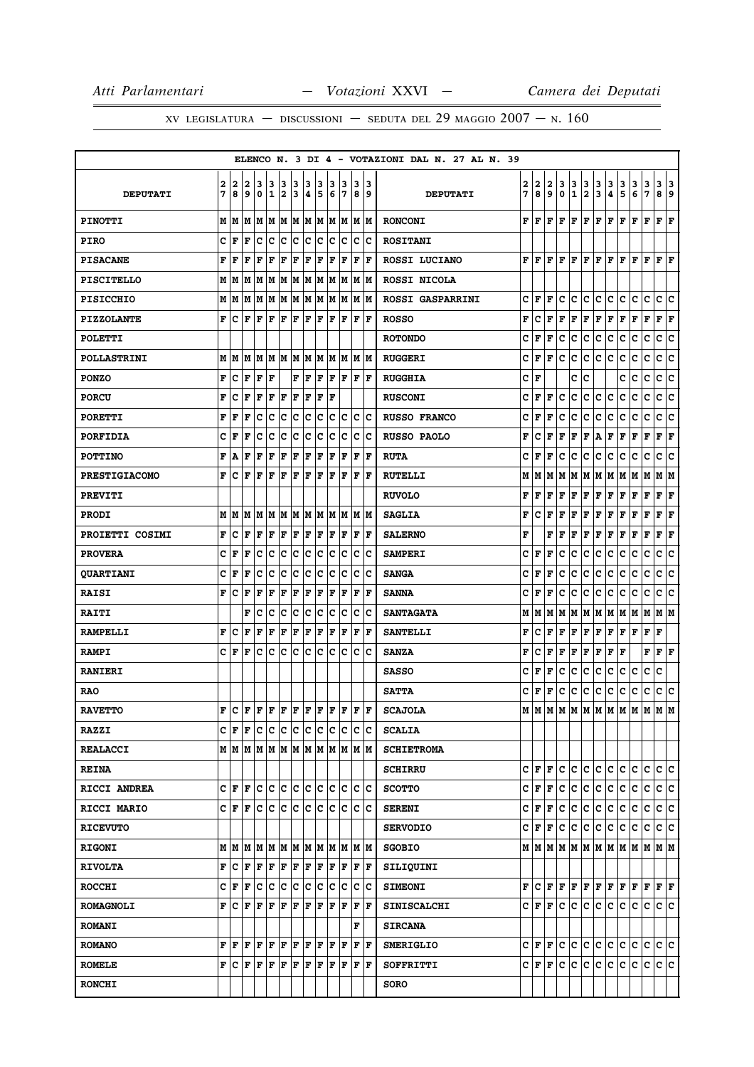|                      |        |        |                                                                                                                                                                                                                                                                                                                                                                                                                                                                                                                                                                                |        |                    |        |        |        |                           |        |         |                             |           | ELENCO N. 3 DI 4 - VOTAZIONI DAL N. 27 AL N. 39 |        |        |                         |              |                  |                              |              |        |                                                                                                                                                                                                          |        |             |                           |     |
|----------------------|--------|--------|--------------------------------------------------------------------------------------------------------------------------------------------------------------------------------------------------------------------------------------------------------------------------------------------------------------------------------------------------------------------------------------------------------------------------------------------------------------------------------------------------------------------------------------------------------------------------------|--------|--------------------|--------|--------|--------|---------------------------|--------|---------|-----------------------------|-----------|-------------------------------------------------|--------|--------|-------------------------|--------------|------------------|------------------------------|--------------|--------|----------------------------------------------------------------------------------------------------------------------------------------------------------------------------------------------------------|--------|-------------|---------------------------|-----|
| <b>DEPUTATI</b>      | 2<br>7 | 2<br>8 | 2<br>9                                                                                                                                                                                                                                                                                                                                                                                                                                                                                                                                                                         | 3<br>0 | 13<br>$\mathbf{1}$ | 3<br>2 | 3<br>3 | 3<br>4 | 3<br>5                    | 3<br>6 | 13<br>7 | 3<br>8                      | 13<br>و ا | <b>DEPUTATI</b>                                 | 2<br>7 | 2<br>8 | 2<br>9                  | 3<br>0       | 3<br>$\mathbf 1$ | 3<br>$\overline{\mathbf{2}}$ | 3<br>3       | 3<br>4 | 3<br>5                                                                                                                                                                                                   | 3<br>6 | 3<br>7      | 3 3<br>89                 |     |
| <b>PINOTTI</b>       |        |        |                                                                                                                                                                                                                                                                                                                                                                                                                                                                                                                                                                                |        |                    |        |        |        |                           |        |         | MMMMMMMMMMMMMMM             |           | <b>RONCONI</b>                                  | F      | lF.    | F                       |              |                  |                              |              |        | F   F   F   F   F   F   F                                                                                                                                                                                |        |             | F F                       |     |
| <b>PIRO</b>          | c      | F      | F                                                                                                                                                                                                                                                                                                                                                                                                                                                                                                                                                                              | Iс     | Ιc                 | lc.    | lc.    | lc.    | ∣c                        | lc.    | Iс      | lc.                         | Ιc        | <b>ROSITANI</b>                                 |        |        |                         |              |                  |                              |              |        |                                                                                                                                                                                                          |        |             |                           |     |
| <b>PISACANE</b>      | F      | l F    | l F                                                                                                                                                                                                                                                                                                                                                                                                                                                                                                                                                                            | l F    | ΙF                 | F      | F      | ΙF     | F                         | F      | F       | F                           | l F       | ROSSI LUCIANO                                   |        | FF     | F                       | lF.          | F                | F                            | F            | F      | F                                                                                                                                                                                                        | F      | ΙF          | $\bf{F}$ $\bf{F}$         |     |
| <b>PISCITELLO</b>    |        |        |                                                                                                                                                                                                                                                                                                                                                                                                                                                                                                                                                                                |        |                    |        |        |        |                           |        |         |                             |           | ROSSI NICOLA                                    |        |        |                         |              |                  |                              |              |        |                                                                                                                                                                                                          |        |             |                           |     |
| <b>PISICCHIO</b>     |        | MM     |                                                                                                                                                                                                                                                                                                                                                                                                                                                                                                                                                                                |        |                    |        |        |        | M  M  M  M  M  M  M  M  M |        |         |                             | M M       | <b>ROSSI GASPARRINI</b>                         | c      | l F    | F                       | c            | с                | с                            | c            | с      | c                                                                                                                                                                                                        | с      | c           | c                         | Iс  |
| <b>PIZZOLANTE</b>    | F      | ١c     | lF.                                                                                                                                                                                                                                                                                                                                                                                                                                                                                                                                                                            | lF.    | ΙF                 | F F    |        | F F    |                           | lF.    | ١F      | F                           | ١F        | <b>ROSSO</b>                                    | F      | c      | F                       | F            | F                | F                            | F            | F      | F                                                                                                                                                                                                        | F      | F           | $ {\bf F}  {\bf F} $      |     |
| <b>POLETTI</b>       |        |        |                                                                                                                                                                                                                                                                                                                                                                                                                                                                                                                                                                                |        |                    |        |        |        |                           |        |         |                             |           | <b>ROTONDO</b>                                  | c      | F      | F                       | c            | с                | c                            | c            | c      | c                                                                                                                                                                                                        | c      | c           | c                         | c   |
| <b>POLLASTRINI</b>   |        |        | M   M   M                                                                                                                                                                                                                                                                                                                                                                                                                                                                                                                                                                      |        | M  M  M  M         |        |        |        | MM                        |        | M M     |                             | IM IM     | <b>RUGGERI</b>                                  | C      | F      | F                       | $\mathbf c$  | c                | c                            | lc.          | c      | C                                                                                                                                                                                                        | c      | $\mathbf C$ | c                         | c   |
| <b>PONZO</b>         | F      | c      | F                                                                                                                                                                                                                                                                                                                                                                                                                                                                                                                                                                              | lF.    | ١F                 |        | F      | F      | F                         | lF.    | ١F      | lF.                         | ١F        | <b>RUGGHIA</b>                                  | c      | F      |                         |              | с                | c                            |              |        | c                                                                                                                                                                                                        | c      | c           | c                         | ∣c  |
| <b>PORCU</b>         | F      | c      | ΙF                                                                                                                                                                                                                                                                                                                                                                                                                                                                                                                                                                             | F      | F                  | F      | F      | ΙF     | F                         | ΙF     |         |                             |           | <b>RUSCONI</b>                                  | c      | l F    | F                       | c            | c                | с                            | lc.          | c      | c                                                                                                                                                                                                        | c      | c           | c                         | c   |
| <b>PORETTI</b>       | F      | F      | l F                                                                                                                                                                                                                                                                                                                                                                                                                                                                                                                                                                            | Iс     | Ιc                 | c      | c      | c      | c                         | lc.    | Ιc      |                             | lc Ic     | <b>RUSSO FRANCO</b>                             | c      | F      | F                       | c            | c                | c                            | c            | c      | c                                                                                                                                                                                                        | c      | c           | c  c                      |     |
| <b>PORFIDIA</b>      | c      | F      | F                                                                                                                                                                                                                                                                                                                                                                                                                                                                                                                                                                              | с      | c                  | c      | c      | c      | c                         | c      | Ιc      | с                           | Ιc        | <b>RUSSO PAOLO</b>                              | F      | c      | F                       | F            | F                | F                            | A            | F      | F                                                                                                                                                                                                        | F      | F           | F                         | F   |
| <b>POTTINO</b>       | F      | A      | F                                                                                                                                                                                                                                                                                                                                                                                                                                                                                                                                                                              | F      | F                  | F      | F      | F      | F                         | F      | F       | F                           | F         | <b>RUTA</b>                                     | c      | l F    | F                       | c            | c                | с                            | c            | c      | с                                                                                                                                                                                                        | c      | c           | c                         | lc. |
| <b>PRESTIGIACOMO</b> | F      | Iс     | ΙF                                                                                                                                                                                                                                                                                                                                                                                                                                                                                                                                                                             | lF.    | ΙF                 | F      | lF.    | F      | F                         | ΙF     | F       | l F                         | lF.       | <b>RUTELLI</b>                                  | М      | M      | M                       | М            | M                | M  M                         |              | M M    |                                                                                                                                                                                                          | MM     |             | M  M                      |     |
| <b>PREVITI</b>       |        |        |                                                                                                                                                                                                                                                                                                                                                                                                                                                                                                                                                                                |        |                    |        |        |        |                           |        |         |                             |           | <b>RUVOLO</b>                                   | F      | F      | F                       | F            | F                | $\mathbf F$                  | $\mathbf{F}$ | F      | F                                                                                                                                                                                                        | F      | F           | ${\bf F} \,   \, {\bf F}$ |     |
| <b>PRODI</b>         |        | MM     | lМ                                                                                                                                                                                                                                                                                                                                                                                                                                                                                                                                                                             |        |                    |        |        |        | IM IM IM IM IM            |        | M M     |                             | IM IM     | <b>SAGLIA</b>                                   | F      | c      | F                       | F            | F                | F                            | F            | F      | F                                                                                                                                                                                                        | F      | F           | F F                       |     |
| PROIETTI COSIMI      | F      | Iс     | l F                                                                                                                                                                                                                                                                                                                                                                                                                                                                                                                                                                            | F      | ΙF                 | F      | F      | F      | lF.                       | F      | F       | F                           | ١F        | <b>SALERNO</b>                                  | F      |        | F                       | F            | F                | F                            | F            | F      | F                                                                                                                                                                                                        | F      | F           | F                         | F   |
| <b>PROVERA</b>       | c      | F      | l F                                                                                                                                                                                                                                                                                                                                                                                                                                                                                                                                                                            | Iс     | Iс                 | c      | IC.    | lc.    | ∣c                        | lc.    | Iс      |                             | c c       | <b>SAMPERI</b>                                  | c      | F      | F                       | c            | c                | c                            | c            | c      | c                                                                                                                                                                                                        | c      | c           | c c                       |     |
| <b>QUARTIANI</b>     | c      | l F    | F                                                                                                                                                                                                                                                                                                                                                                                                                                                                                                                                                                              | c      | c                  | c      | c      | c      | c                         | c      | Ιc      | c                           | Ιc        | <b>SANGA</b>                                    | c      | F      | F                       | c            | c                | $\mathbf{C}$                 | c            | c      | c                                                                                                                                                                                                        | с      | с           | c                         | c   |
| <b>RAISI</b>         | F      | Ιc     | F                                                                                                                                                                                                                                                                                                                                                                                                                                                                                                                                                                              | F      | F                  | F      | F      | F      | F                         | F      | F       | F                           | ١F        | <b>SANNA</b>                                    | c      | l F    | F                       | c            | c.               | c                            | c            | c      | c                                                                                                                                                                                                        | с      | $\mathbf C$ | c                         | lc. |
| <b>RAITI</b>         |        |        | F                                                                                                                                                                                                                                                                                                                                                                                                                                                                                                                                                                              | lc     | lc                 | lc.    | lc.    | lc     | lc                        | lc.    | lc      | $\mathbf c$                 | Ιc        | <b>SANTAGATA</b>                                | М      | M      | M                       | М            | M                | M  M                         |              | M M    |                                                                                                                                                                                                          | MM     |             | M   M                     |     |
| <b>RAMPELLI</b>      | F      | с      | F                                                                                                                                                                                                                                                                                                                                                                                                                                                                                                                                                                              | F      | F                  | F      | F      | F      | F                         | F      | F       | F                           | l F       | <b>SANTELLI</b>                                 | F      | c      | F                       | F            | F                | F                            | F            | F      | F                                                                                                                                                                                                        | F      | F           | F                         |     |
| <b>RAMPI</b>         |        | C  F   | ΙF                                                                                                                                                                                                                                                                                                                                                                                                                                                                                                                                                                             | lc.    | Iс                 | c      | ∣c     | lc.    | Iс                        | lc.    | Ιc      | lc.                         | ١c        | <b>SANZA</b>                                    | F      | c      | F                       | $\mathbf{F}$ | F                | F                            | F            | F      | F                                                                                                                                                                                                        |        | $\mathbf F$ | $ {\bf F}  {\bf F} $      |     |
| <b>RANIERI</b>       |        |        |                                                                                                                                                                                                                                                                                                                                                                                                                                                                                                                                                                                |        |                    |        |        |        |                           |        |         |                             |           | <b>SASSO</b>                                    | c      | F      | F                       | c            | lc.              | c                            | c            | c      | c                                                                                                                                                                                                        | c      | c           | c                         |     |
| <b>RAO</b>           |        |        |                                                                                                                                                                                                                                                                                                                                                                                                                                                                                                                                                                                |        |                    |        |        |        |                           |        |         |                             |           | <b>SATTA</b>                                    | c      | F F    |                         | c            | c                | c                            | c            | c      | c                                                                                                                                                                                                        | c      | c           | c c                       |     |
| <b>RAVETTO</b>       | F      | Iс     | F F F F F F F F F F                                                                                                                                                                                                                                                                                                                                                                                                                                                                                                                                                            |        |                    |        |        |        |                           |        |         |                             | F  F      | <b>SCAJOLA</b>                                  | м      | lм     |                         |              |                  | MMMMMMMM                     |              |        |                                                                                                                                                                                                          | M      | M           | M M                       |     |
| <b>RAZZI</b>         |        |        | C F F C C C C C C                                                                                                                                                                                                                                                                                                                                                                                                                                                                                                                                                              |        |                    |        |        |        |                           | c c    |         |                             | c c       | <b>SCALIA</b>                                   |        |        |                         |              |                  |                              |              |        |                                                                                                                                                                                                          |        |             |                           |     |
| <b>REALACCI</b>      |        |        |                                                                                                                                                                                                                                                                                                                                                                                                                                                                                                                                                                                |        |                    |        |        |        |                           |        |         |                             |           | <b>SCHIETROMA</b>                               |        |        |                         |              |                  |                              |              |        |                                                                                                                                                                                                          |        |             |                           |     |
| <b>REINA</b>         |        |        |                                                                                                                                                                                                                                                                                                                                                                                                                                                                                                                                                                                |        |                    |        |        |        |                           |        |         |                             |           | <b>SCHIRRU</b>                                  |        |        | C  F  F                 |              |                  | le le le le                  |              | c c    |                                                                                                                                                                                                          | lc.    | lc.         | c c                       |     |
| RICCI ANDREA         |        |        |                                                                                                                                                                                                                                                                                                                                                                                                                                                                                                                                                                                |        |                    |        |        |        |                           |        |         | C F F C C C C C C C C C C C |           | <b>SCOTTO</b>                                   |        |        |                         |              |                  | C F F C C C C                |              | c c    |                                                                                                                                                                                                          | lc.    | lc.         | c c                       |     |
| RICCI MARIO          |        |        | CFF                                                                                                                                                                                                                                                                                                                                                                                                                                                                                                                                                                            |        |                    |        |        |        | c c c c c c               | c c    |         |                             | c c       | <b>SERENI</b>                                   |        |        | C  F  F                 | lc.          | lc.              | ∣c∙                          | lc.          | ∣c∙    | lc.                                                                                                                                                                                                      | с      | С           | c c                       |     |
| <b>RICEVUTO</b>      |        |        |                                                                                                                                                                                                                                                                                                                                                                                                                                                                                                                                                                                |        |                    |        |        |        |                           |        |         |                             |           | <b>SERVODIO</b>                                 |        |        |                         |              | C F F C C        | c c                          |              | c c    |                                                                                                                                                                                                          | С      | IC.         | c c                       |     |
| <b>RIGONI</b>        |        |        |                                                                                                                                                                                                                                                                                                                                                                                                                                                                                                                                                                                |        |                    |        |        |        |                           |        |         | MMMMMMMMMMMMMMM             |           | <b>SGOBIO</b>                                   |        |        |                         |              |                  |                              |              |        | $M$   $M$   $M$   $M$   $M$   $M$   $M$   $M$   $M$   $M$   $M$   $M$   $M$                                                                                                                              |        |             |                           |     |
| <b>RIVOLTA</b>       |        |        | $\mathbf{F}\left \mathbf{C}\right.\left \mathbf{F}\right.\left \mathbf{F}\right.\left \mathbf{F}\right.\left \mathbf{F}\right.\left \mathbf{F}\right.\left \mathbf{F}\right.\left \mathbf{F}\right.\left \mathbf{F}\right.\left \mathbf{F}\right.\left \mathbf{F}\right.\left \mathbf{F}\right.\left \mathbf{F}\right.\left \mathbf{F}\right.\left \mathbf{F}\right.\left \mathbf{F}\right.\left \mathbf{F}\right.\left \mathbf{F}\right.\left \mathbf{F}\right.\left \mathbf{F}\right.\left \mathbf{F}\right.\left \mathbf{F}\right.\left \mathbf{F}\right.\left \mathbf{F}\$ |        |                    |        |        |        |                           | F F    |         |                             | F F       | SILIQUINI                                       |        |        |                         |              |                  |                              |              |        |                                                                                                                                                                                                          |        |             |                           |     |
| <b>ROCCHI</b>        |        |        | C F F C C C C C C                                                                                                                                                                                                                                                                                                                                                                                                                                                                                                                                                              |        |                    |        |        |        |                           | c c    |         |                             | c c       | <b>SIMEONI</b>                                  |        |        |                         |              |                  |                              |              |        | $\mathbf{F}\left[\mathbf{C}\left \mathbf{F}\left \mathbf{F}\left \mathbf{F}\right \mathbf{F}\left \mathbf{F}\right \mathbf{F}\left \mathbf{F}\right \mathbf{F}\right \mathbf{F}\right]\mathbf{F}\right]$ |        |             | $F$ $F$                   |     |
| <b>ROMAGNOLI</b>     |        |        | ${\bf F}\, {\bf C}\, {\bf F}\, {\bf F}\, {\bf F}\, {\bf F}\, {\bf F}\, $                                                                                                                                                                                                                                                                                                                                                                                                                                                                                                       |        |                    |        |        | F F    |                           | IF IF  |         | F                           | ١F        | <b>SINISCALCHI</b>                              |        |        |                         |              |                  |                              |              |        |                                                                                                                                                                                                          |        | lc.         | lc Ic                     |     |
| <b>ROMANI</b>        |        |        |                                                                                                                                                                                                                                                                                                                                                                                                                                                                                                                                                                                |        |                    |        |        |        |                           |        |         | F                           |           | <b>SIRCANA</b>                                  |        |        |                         |              |                  |                              |              |        |                                                                                                                                                                                                          |        |             |                           |     |
| <b>ROMANO</b>        |        | F F    | lF.                                                                                                                                                                                                                                                                                                                                                                                                                                                                                                                                                                            | F F    |                    | F F    |        | F F    |                           | lF.    | lF.     | F                           | ١F        | <b>SMERIGLIO</b>                                |        |        | $C  {\bf F}  {\bf F}  $ | lc.          | lc.              | c c                          |              | lc.    | lc.                                                                                                                                                                                                      | c c    |             | lc Ic                     |     |
| <b>ROMELE</b>        |        |        | ${\bf F}\, {\bf C}\, {\bf F}\, {\bf F}\, {\bf F}\, {\bf F}\, {\bf F}\, {\bf F}\, {\bf F}\, {\bf F}\, {\bf F}\, {\bf F}\, {\bf F}\, {\bf F}\, {\bf F}\, {\bf F}\, {\bf F}\, {\bf F}\, {\bf F}\, {\bf F}\, {\bf F}\, {\bf F}\, {\bf F}\, {\bf F}\, {\bf F}\, {\bf F}\, {\bf F}\, {\bf F}\, {\bf F}\, {\bf F}\, {\bf F}\, {\bf F}\, {\bf F}\, {\bf F}\, {\bf F}\, {\bf F}\, {\bf F}\$                                                                                                                                                                                             |        |                    |        |        |        |                           |        |         |                             | F F       | SOFFRITTI                                       |        |        |                         |              | C F F C C        | ∣c∙                          | c.           | c.     | lc.                                                                                                                                                                                                      | lc.    | c.          | c c                       |     |
| <b>RONCHI</b>        |        |        |                                                                                                                                                                                                                                                                                                                                                                                                                                                                                                                                                                                |        |                    |        |        |        |                           |        |         |                             |           | SORO                                            |        |        |                         |              |                  |                              |              |        |                                                                                                                                                                                                          |        |             |                           |     |